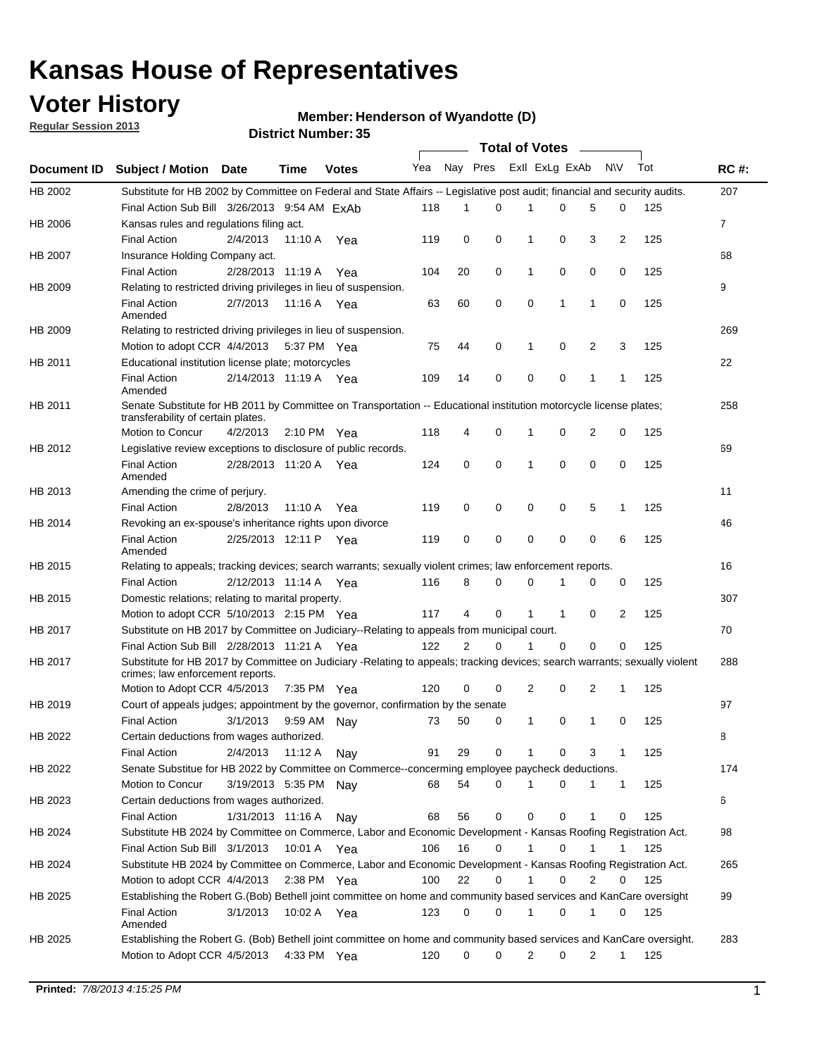## **Voter History**

**Member: Henderson of Wyandotte (D)** 

**Regular Session 2013**

|                    |                                                                                                                                                                |                       | <b>DISTRICT MAILINGLESS</b> |              |     |          | Total of Votes – |                |              |                |              |     |                |
|--------------------|----------------------------------------------------------------------------------------------------------------------------------------------------------------|-----------------------|-----------------------------|--------------|-----|----------|------------------|----------------|--------------|----------------|--------------|-----|----------------|
| <b>Document ID</b> | <b>Subject / Motion Date</b>                                                                                                                                   |                       | Time                        | <b>Votes</b> | Yea | Nay Pres |                  | Exll ExLg ExAb |              |                | <b>NV</b>    | Tot | <b>RC#:</b>    |
| HB 2002            | Substitute for HB 2002 by Committee on Federal and State Affairs -- Legislative post audit; financial and security audits.                                     |                       |                             |              |     |          |                  |                |              |                |              |     | 207            |
|                    | Final Action Sub Bill 3/26/2013 9:54 AM ExAb                                                                                                                   |                       |                             |              | 118 | 1        | $\Omega$         |                | 0            | 5              | 0            | 125 |                |
| HB 2006            | Kansas rules and regulations filing act.                                                                                                                       |                       |                             |              |     |          |                  |                |              |                |              |     | $\overline{7}$ |
|                    | <b>Final Action</b>                                                                                                                                            | 2/4/2013              | 11:10 A                     | Yea          | 119 | 0        | 0                | $\mathbf 1$    | 0            | 3              | 2            | 125 |                |
| <b>HB 2007</b>     | Insurance Holding Company act.                                                                                                                                 |                       |                             |              |     |          |                  |                |              |                |              |     | 68             |
|                    | <b>Final Action</b>                                                                                                                                            | 2/28/2013 11:19 A     |                             | Yea          | 104 | 20       | 0                | 1              | 0            | 0              | 0            | 125 |                |
| HB 2009            | Relating to restricted driving privileges in lieu of suspension.                                                                                               |                       |                             |              |     |          |                  |                |              |                |              |     | 9              |
|                    | <b>Final Action</b><br>Amended                                                                                                                                 | 2/7/2013              | 11:16 A Yea                 |              | 63  | 60       | 0                | 0              | 1            | 1              | 0            | 125 |                |
| HB 2009            | Relating to restricted driving privileges in lieu of suspension.                                                                                               |                       |                             |              |     |          |                  |                |              |                |              |     | 269            |
|                    | Motion to adopt CCR 4/4/2013                                                                                                                                   |                       | 5:37 PM Yea                 |              | 75  | 44       | 0                | 1              | 0            | 2              | 3            | 125 |                |
| HB 2011            | Educational institution license plate; motorcycles                                                                                                             |                       |                             |              |     |          |                  |                |              |                |              |     | 22             |
|                    | <b>Final Action</b><br>Amended                                                                                                                                 | 2/14/2013 11:19 A     |                             | Yea          | 109 | 14       | 0                | 0              | 0            | 1              | 1            | 125 |                |
| HB 2011            | Senate Substitute for HB 2011 by Committee on Transportation -- Educational institution motorcycle license plates;<br>transferability of certain plates.       |                       |                             |              |     |          |                  |                |              |                |              |     | 258            |
|                    | Motion to Concur                                                                                                                                               | 4/2/2013              | $2:10 \text{ PM}$ Yea       |              | 118 | 4        | 0                | 1              | 0            | $\overline{2}$ | 0            | 125 |                |
| HB 2012            | Legislative review exceptions to disclosure of public records.                                                                                                 |                       |                             |              |     |          |                  |                |              |                |              |     | 69             |
|                    | <b>Final Action</b><br>Amended                                                                                                                                 | 2/28/2013 11:20 A Yea |                             |              | 124 | 0        | 0                | 1              | 0            | 0              | 0            | 125 |                |
| HB 2013            | Amending the crime of perjury.                                                                                                                                 |                       |                             |              |     |          |                  |                |              |                |              |     | 11             |
|                    | <b>Final Action</b>                                                                                                                                            | 2/8/2013              | 11:10 A                     | Yea          | 119 | 0        | 0                | 0              | 0            | 5              | $\mathbf{1}$ | 125 |                |
| HB 2014            | Revoking an ex-spouse's inheritance rights upon divorce                                                                                                        |                       |                             |              |     |          |                  |                |              |                |              |     | 46             |
|                    | <b>Final Action</b><br>Amended                                                                                                                                 | 2/25/2013 12:11 P     |                             | Yea          | 119 | 0        | 0                | 0              | 0            | 0              | 6            | 125 |                |
| HB 2015            | Relating to appeals; tracking devices; search warrants; sexually violent crimes; law enforcement reports.                                                      |                       |                             |              |     |          |                  |                |              |                |              |     | 16             |
|                    | <b>Final Action</b>                                                                                                                                            | 2/12/2013 11:14 A     |                             | Yea          | 116 | 8        | 0                | 0              | 1            | 0              | 0            | 125 |                |
| HB 2015            | Domestic relations; relating to marital property.                                                                                                              |                       |                             |              |     |          |                  |                |              |                |              |     | 307            |
|                    | Motion to adopt CCR 5/10/2013 2:15 PM Yea                                                                                                                      |                       |                             |              | 117 | 4        | 0                | 1              | $\mathbf{1}$ | 0              | 2            | 125 |                |
| HB 2017            | Substitute on HB 2017 by Committee on Judiciary--Relating to appeals from municipal court.                                                                     |                       |                             |              |     |          |                  |                |              |                |              |     | 70             |
|                    | Final Action Sub Bill 2/28/2013 11:21 A Yea                                                                                                                    |                       |                             |              | 122 | 2        | 0                | 1              | 0            | $\Omega$       | 0            | 125 |                |
| HB 2017            | Substitute for HB 2017 by Committee on Judiciary -Relating to appeals; tracking devices; search warrants; sexually violent<br>crimes; law enforcement reports. |                       |                             |              |     |          |                  |                |              |                |              |     | 288            |
|                    | Motion to Adopt CCR 4/5/2013                                                                                                                                   |                       | 7:35 PM Yea                 |              | 120 | 0        | 0                | 2              | 0            | 2              | 1            | 125 |                |
| HB 2019            | Court of appeals judges; appointment by the governor, confirmation by the senate                                                                               |                       |                             |              |     |          |                  |                |              |                |              |     | 97             |
|                    | <b>Final Action</b>                                                                                                                                            | 3/1/2013              | 9:59 AM Nay                 |              | 73  | 50       | 0                | 1              | 0            | 1              | 0            | 125 |                |
| HB 2022            | Certain deductions from wages authorized.                                                                                                                      |                       |                             |              |     |          |                  |                |              |                |              |     | 8              |
|                    | <b>Final Action</b>                                                                                                                                            | 2/4/2013              | 11:12 A                     | Nay          | 91  | 29       | 0                |                | 0            | 3              | 1            | 125 |                |
| HB 2022            | Senate Substitue for HB 2022 by Committee on Commerce--concerming employee paycheck deductions.                                                                |                       |                             |              |     |          |                  |                |              |                |              |     | 174            |
|                    | Motion to Concur                                                                                                                                               | 3/19/2013 5:35 PM     |                             | Nay          | 68  | 54       | 0                | 1              | 0            | 1              | $\mathbf{1}$ | 125 |                |
| HB 2023            | Certain deductions from wages authorized.                                                                                                                      |                       |                             |              |     |          |                  |                |              |                |              |     | 6              |
|                    | <b>Final Action</b>                                                                                                                                            | 1/31/2013 11:16 A     |                             | Nay          | 68  | 56       | 0                | 0              | 0            | 1              | 0            | 125 |                |
| HB 2024            | Substitute HB 2024 by Committee on Commerce, Labor and Economic Development - Kansas Roofing Registration Act.                                                 |                       |                             |              |     |          |                  |                |              |                |              |     | 98             |
|                    | Final Action Sub Bill 3/1/2013                                                                                                                                 |                       | 10:01 A                     | Yea          | 106 | 16       | 0                | 1              | 0            | 1              | 1            | 125 |                |
| HB 2024            | Substitute HB 2024 by Committee on Commerce, Labor and Economic Development - Kansas Roofing Registration Act.                                                 |                       |                             |              |     |          |                  |                |              |                |              |     | 265            |
|                    | Motion to adopt CCR 4/4/2013                                                                                                                                   |                       | $2:38$ PM Yea               |              | 100 | 22       | 0                | 1              | 0            | 2              | 0            | 125 |                |
| HB 2025            | Establishing the Robert G. (Bob) Bethell joint committee on home and community based services and KanCare oversight                                            |                       |                             |              |     |          |                  |                |              |                |              |     | 99             |
|                    | <b>Final Action</b><br>Amended                                                                                                                                 | 3/1/2013              | 10:02 A Yea                 |              | 123 | 0        | 0                | 1              | 0            | 1              | 0            | 125 |                |
| HB 2025            | Establishing the Robert G. (Bob) Bethell joint committee on home and community based services and KanCare oversight.                                           |                       |                             |              |     |          |                  |                |              |                |              |     | 283            |
|                    | Motion to Adopt CCR 4/5/2013                                                                                                                                   |                       | 4:33 PM Yea                 |              | 120 | 0        | 0                | $\overline{2}$ | 0            | 2              | $\mathbf{1}$ | 125 |                |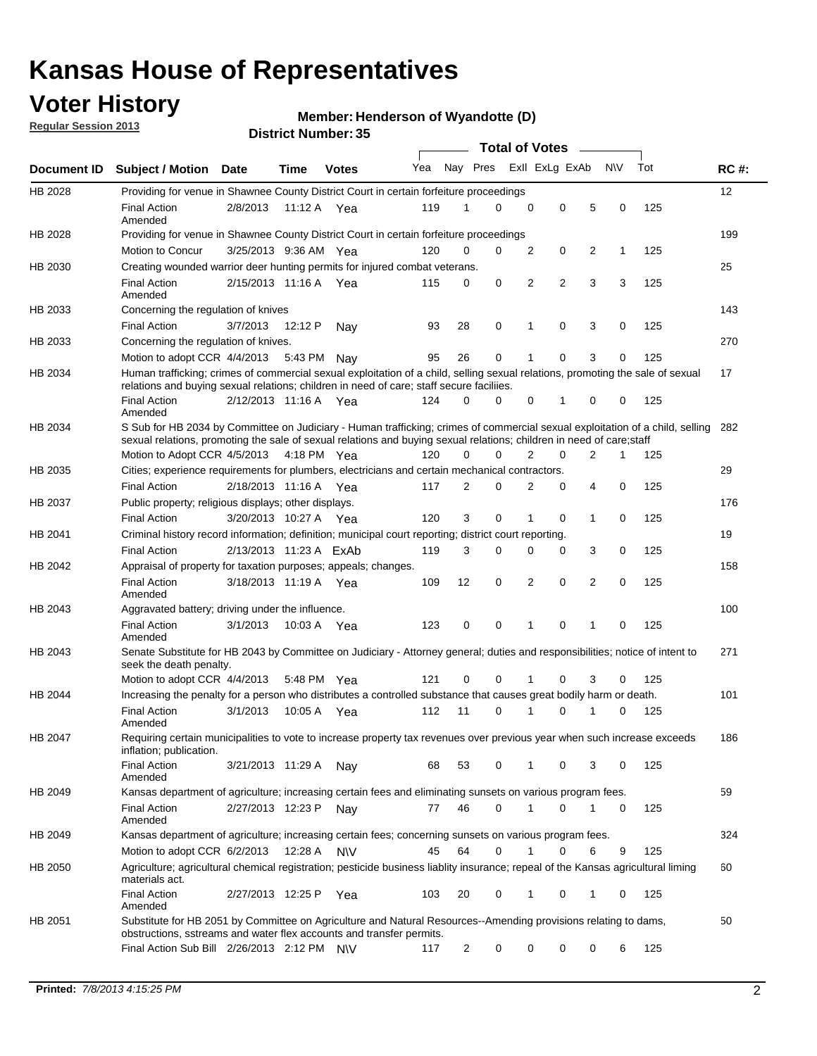## **Voter History**

**Regular Session 2013**

### **Member: Henderson of Wyandotte (D)**

|                    |                                                                                                                                                                                                                                                        |                        | טט וסווווטנו ועווווטכו |              |     |                | <b>Total of Votes</b> |                |                |   |              |     |     |
|--------------------|--------------------------------------------------------------------------------------------------------------------------------------------------------------------------------------------------------------------------------------------------------|------------------------|------------------------|--------------|-----|----------------|-----------------------|----------------|----------------|---|--------------|-----|-----|
| <b>Document ID</b> | <b>Subject / Motion Date</b>                                                                                                                                                                                                                           |                        | Time                   | <b>Votes</b> | Yea | Nay Pres       |                       |                | Exll ExLg ExAb |   | <b>NV</b>    | Tot | RC# |
| HB 2028            | Providing for venue in Shawnee County District Court in certain forfeiture proceedings                                                                                                                                                                 |                        |                        |              |     |                |                       |                |                |   |              |     | 12  |
|                    | <b>Final Action</b><br>Amended                                                                                                                                                                                                                         | 2/8/2013               | 11:12 A Yea            |              | 119 | 1              | 0                     | $\mathbf 0$    | $\mathbf 0$    | 5 | 0            | 125 |     |
| HB 2028            | Providing for venue in Shawnee County District Court in certain forfeiture proceedings                                                                                                                                                                 |                        |                        |              |     |                |                       |                |                |   |              |     | 199 |
|                    | Motion to Concur                                                                                                                                                                                                                                       | 3/25/2013 9:36 AM Yea  |                        |              | 120 | 0              | 0                     | 2              | 0              | 2 | $\mathbf{1}$ | 125 |     |
| HB 2030            | Creating wounded warrior deer hunting permits for injured combat veterans.                                                                                                                                                                             |                        |                        |              |     |                |                       |                |                |   |              |     | 25  |
|                    | <b>Final Action</b><br>Amended                                                                                                                                                                                                                         | 2/15/2013 11:16 A      |                        | Yea          | 115 | 0              | 0                     | 2              | $\overline{2}$ | 3 | 3            | 125 |     |
| HB 2033            | Concerning the regulation of knives                                                                                                                                                                                                                    |                        |                        |              |     |                |                       |                |                |   |              |     | 143 |
|                    | <b>Final Action</b>                                                                                                                                                                                                                                    | 3/7/2013               | 12:12 P                | Nav          | 93  | 28             | 0                     | 1              | $\mathbf 0$    | 3 | 0            | 125 |     |
| HB 2033            | Concerning the regulation of knives.                                                                                                                                                                                                                   |                        |                        |              |     |                |                       |                |                |   |              |     | 270 |
|                    | Motion to adopt CCR $4/4/2013$ 5:43 PM                                                                                                                                                                                                                 |                        |                        | Nay          | 95  | 26             | 0                     | 1              | 0              | 3 | 0            | 125 |     |
| HB 2034            | Human trafficking; crimes of commercial sexual exploitation of a child, selling sexual relations, promoting the sale of sexual<br>relations and buying sexual relations; children in need of care; staff secure faciliies.                             |                        |                        |              |     |                |                       |                |                |   |              |     | 17  |
|                    | <b>Final Action</b><br>Amended                                                                                                                                                                                                                         | 2/12/2013 11:16 A Yea  |                        |              | 124 | 0              | 0                     | 0              | 1              | 0 | 0            | 125 |     |
| HB 2034            | S Sub for HB 2034 by Committee on Judiciary - Human trafficking; crimes of commercial sexual exploitation of a child, selling<br>sexual relations, promoting the sale of sexual relations and buying sexual relations; children in need of care; staff |                        |                        |              |     |                |                       |                |                |   |              |     | 282 |
|                    | Motion to Adopt CCR 4/5/2013 4:18 PM Yea                                                                                                                                                                                                               |                        |                        |              | 120 | 0              | 0                     | $\overline{2}$ | 0              | 2 | 1            | 125 |     |
| HB 2035            | Cities; experience requirements for plumbers, electricians and certain mechanical contractors.                                                                                                                                                         |                        |                        |              |     |                |                       |                |                |   |              |     | 29  |
|                    | <b>Final Action</b>                                                                                                                                                                                                                                    | 2/18/2013 11:16 A      |                        | Yea          | 117 | 2              | 0                     | 2              | 0              | 4 | 0            | 125 |     |
| HB 2037            | Public property; religious displays; other displays.                                                                                                                                                                                                   |                        |                        |              | 120 | 3              | 0                     | 1              | 0              |   | 0            |     | 176 |
|                    | <b>Final Action</b>                                                                                                                                                                                                                                    | 3/20/2013 10:27 A Yea  |                        |              |     |                |                       |                |                | 1 |              | 125 |     |
| HB 2041            | Criminal history record information; definition; municipal court reporting; district court reporting.<br><b>Final Action</b>                                                                                                                           |                        |                        |              | 119 |                | 0                     |                | 0              |   | 0            |     | 19  |
| HB 2042            |                                                                                                                                                                                                                                                        | 2/13/2013 11:23 A ExAb |                        |              |     | 3              |                       | 0              |                | 3 |              | 125 | 158 |
|                    | Appraisal of property for taxation purposes; appeals; changes.<br><b>Final Action</b><br>Amended                                                                                                                                                       | 3/18/2013 11:19 A Yea  |                        |              | 109 | 12             | 0                     | 2              | 0              | 2 | 0            | 125 |     |
| HB 2043            | Aggravated battery; driving under the influence.                                                                                                                                                                                                       |                        |                        |              |     |                |                       |                |                |   |              |     | 100 |
|                    | <b>Final Action</b><br>Amended                                                                                                                                                                                                                         | 3/1/2013               | 10:03 A Yea            |              | 123 | 0              | 0                     | 1              | 0              | 1 | 0            | 125 |     |
| HB 2043            | Senate Substitute for HB 2043 by Committee on Judiciary - Attorney general; duties and responsibilities; notice of intent to<br>seek the death penalty.                                                                                                |                        |                        |              |     |                |                       |                |                |   |              |     | 271 |
|                    | Motion to adopt CCR 4/4/2013                                                                                                                                                                                                                           |                        | 5:48 PM                | Yea          | 121 | 0              | 0                     |                | 0              | 3 | 0            | 125 |     |
| HB 2044            | Increasing the penalty for a person who distributes a controlled substance that causes great bodily harm or death.                                                                                                                                     |                        |                        |              |     |                |                       |                |                |   |              |     | 101 |
|                    | <b>Final Action</b><br>Amended                                                                                                                                                                                                                         | 3/1/2013               | 10:05 A                | Yea          | 112 | 11             | $\Omega$              |                | $\Omega$       |   | 0            | 125 |     |
| HB 2047            | Requiring certain municipalities to vote to increase property tax revenues over previous year when such increase exceeds<br>inflation; publication.                                                                                                    |                        |                        |              |     |                |                       |                |                |   |              |     | 186 |
|                    | Final Action<br>Amended                                                                                                                                                                                                                                | 3/21/2013 11:29 A      |                        | Nay          | 68  | 53             | 0                     | 1              | 0              | 3 | 0            | 125 |     |
| HB 2049            | Kansas department of agriculture; increasing certain fees and eliminating sunsets on various program fees.                                                                                                                                             |                        |                        |              |     |                |                       |                |                |   |              |     | 59  |
|                    | <b>Final Action</b><br>Amended                                                                                                                                                                                                                         | 2/27/2013 12:23 P      |                        | Nay          | 77  | 46             | 0                     | 1              | 0              | 1 | 0            | 125 |     |
| HB 2049            | Kansas department of agriculture; increasing certain fees; concerning sunsets on various program fees.                                                                                                                                                 |                        |                        |              |     |                |                       |                |                |   |              |     | 324 |
|                    | Motion to adopt CCR 6/2/2013                                                                                                                                                                                                                           |                        | 12:28 A                | <b>NV</b>    | 45  | 64             | 0                     | 1              | 0              | 6 | 9            | 125 |     |
| HB 2050            | Agriculture; agricultural chemical registration; pesticide business liablity insurance; repeal of the Kansas agricultural liming<br>materials act.                                                                                                     |                        |                        |              |     |                |                       |                |                |   |              |     | 60  |
|                    | <b>Final Action</b><br>Amended                                                                                                                                                                                                                         | 2/27/2013 12:25 P      |                        | Yea          | 103 | 20             | 0                     | 1              | 0              | 1 | 0            | 125 |     |
| HB 2051            | Substitute for HB 2051 by Committee on Agriculture and Natural Resources--Amending provisions relating to dams,<br>obstructions, sstreams and water flex accounts and transfer permits.                                                                |                        |                        |              |     |                |                       |                |                |   |              |     | 50  |
|                    | Final Action Sub Bill 2/26/2013 2:12 PM N\V                                                                                                                                                                                                            |                        |                        |              | 117 | $\overline{c}$ | 0                     | 0              | 0              | 0 | 6            | 125 |     |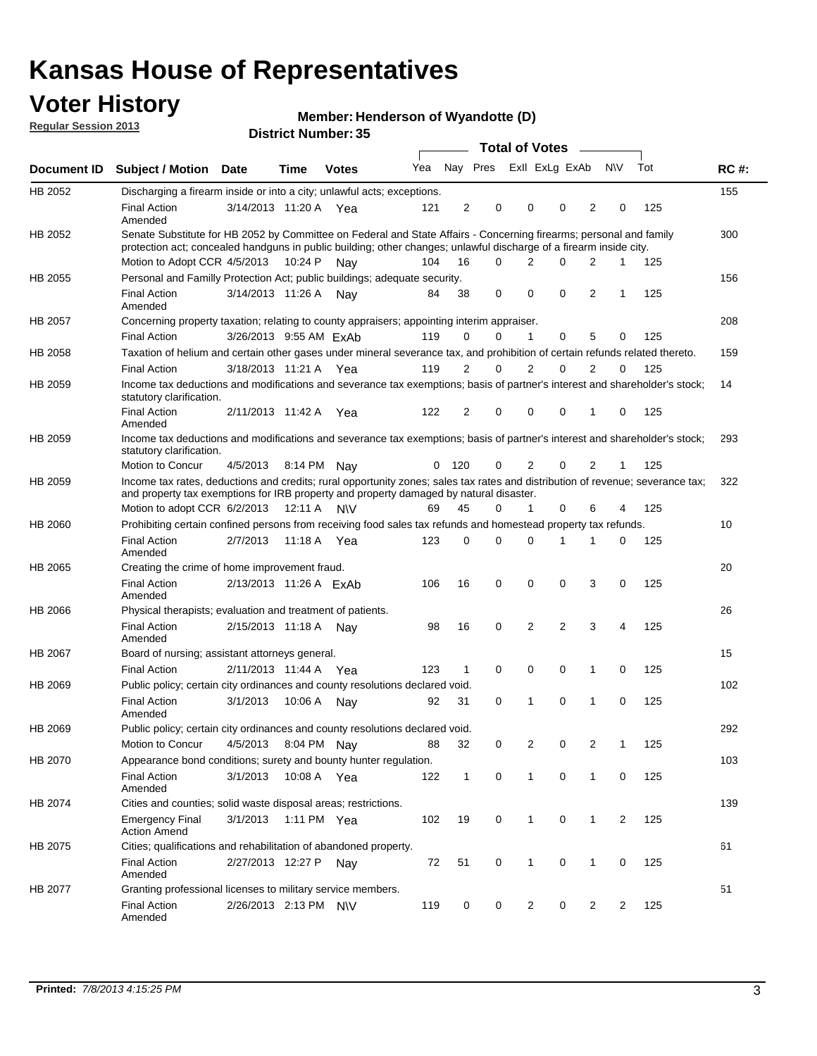## **Voter History**

**Member: Henderson of Wyandotte (D)** 

**Regular Session 2013**

|                |                                                                                                                                                                                                                                          |                        |             | טט הסעוווטנו ועוווטכו |     |                |                             | <b>Total of Votes</b> | $\sim$   |                |           |     |             |
|----------------|------------------------------------------------------------------------------------------------------------------------------------------------------------------------------------------------------------------------------------------|------------------------|-------------|-----------------------|-----|----------------|-----------------------------|-----------------------|----------|----------------|-----------|-----|-------------|
| Document ID    | <b>Subject / Motion</b>                                                                                                                                                                                                                  | Date                   | <b>Time</b> | <b>Votes</b>          |     |                | Yea Nay Pres ExII ExLg ExAb |                       |          |                | <b>NV</b> | Tot | <b>RC#:</b> |
| HB 2052        | Discharging a firearm inside or into a city; unlawful acts; exceptions.                                                                                                                                                                  |                        |             |                       |     |                |                             |                       |          |                |           |     | 155         |
|                | <b>Final Action</b><br>Amended                                                                                                                                                                                                           | 3/14/2013 11:20 A Yea  |             |                       | 121 | 2              | 0                           | 0                     | $\Omega$ | 2              | 0         | 125 |             |
| HB 2052        | Senate Substitute for HB 2052 by Committee on Federal and State Affairs - Concerning firearms; personal and family<br>protection act; concealed handguns in public building; other changes; unlawful discharge of a firearm inside city. |                        |             |                       |     |                |                             |                       |          |                |           |     | 300         |
|                | Motion to Adopt CCR 4/5/2013                                                                                                                                                                                                             |                        | 10:24 P     | Nav                   | 104 | 16             | 0                           | 2                     | $\Omega$ | 2              | 1         | 125 |             |
| HB 2055        | Personal and Familly Protection Act; public buildings; adequate security.                                                                                                                                                                |                        |             |                       |     |                |                             |                       |          |                |           |     | 156         |
|                | <b>Final Action</b><br>Amended                                                                                                                                                                                                           | 3/14/2013 11:26 A      |             | Nav                   | 84  | 38             | 0                           | 0                     | 0        | $\overline{2}$ | 1         | 125 |             |
| HB 2057        | Concerning property taxation; relating to county appraisers; appointing interim appraiser.                                                                                                                                               |                        |             |                       |     |                |                             |                       |          |                |           |     | 208         |
|                | <b>Final Action</b>                                                                                                                                                                                                                      | 3/26/2013 9:55 AM ExAb |             |                       | 119 | 0              | 0                           | 1                     | 0        | 5              | 0         | 125 |             |
| HB 2058        | Taxation of helium and certain other gases under mineral severance tax, and prohibition of certain refunds related thereto.                                                                                                              |                        |             |                       |     |                |                             |                       |          |                |           |     | 159         |
|                | <b>Final Action</b>                                                                                                                                                                                                                      | 3/18/2013 11:21 A Yea  |             |                       | 119 | 2              | 0                           | 2                     | $\Omega$ | 2              | $\Omega$  | 125 |             |
| HB 2059        | Income tax deductions and modifications and severance tax exemptions; basis of partner's interest and shareholder's stock;<br>statutory clarification.                                                                                   |                        |             |                       |     |                |                             |                       |          |                |           |     | 14          |
|                | <b>Final Action</b><br>Amended                                                                                                                                                                                                           | 2/11/2013 11:42 A      |             | Yea                   | 122 | $\overline{2}$ | 0                           | 0                     | 0        | 1              | 0         | 125 |             |
| HB 2059        | Income tax deductions and modifications and severance tax exemptions; basis of partner's interest and shareholder's stock;<br>statutory clarification.                                                                                   |                        |             |                       |     |                |                             |                       |          |                |           |     | 293         |
|                | Motion to Concur                                                                                                                                                                                                                         | 4/5/2013               | 8:14 PM Nay |                       | 0   | 120            | 0                           | $\overline{2}$        | 0        | $\overline{2}$ | 1         | 125 |             |
| HB 2059        | Income tax rates, deductions and credits; rural opportunity zones; sales tax rates and distribution of revenue; severance tax;<br>and property tax exemptions for IRB property and property damaged by natural disaster.                 |                        |             |                       |     |                |                             |                       |          |                |           |     | 322         |
|                | Motion to adopt CCR 6/2/2013                                                                                                                                                                                                             |                        | 12:11 A     | N\V                   | 69  | 45             | 0                           | $\mathbf{1}$          | 0        | 6              | 4         | 125 |             |
| <b>HB 2060</b> | Prohibiting certain confined persons from receiving food sales tax refunds and homestead property tax refunds.                                                                                                                           |                        |             |                       |     |                |                             |                       |          |                |           |     | 10          |
|                | <b>Final Action</b><br>Amended                                                                                                                                                                                                           | 2/7/2013               | 11:18 A     | Yea                   | 123 | $\mathbf 0$    | 0                           | 0                     | 1        | 1              | 0         | 125 |             |
| HB 2065        | Creating the crime of home improvement fraud.                                                                                                                                                                                            |                        |             |                       |     |                |                             |                       |          |                |           |     | 20          |
|                | <b>Final Action</b><br>Amended                                                                                                                                                                                                           | 2/13/2013 11:26 A ExAb |             |                       | 106 | 16             | 0                           | 0                     | 0        | 3              | 0         | 125 |             |
| <b>HB 2066</b> | Physical therapists; evaluation and treatment of patients.                                                                                                                                                                               |                        |             |                       |     |                |                             |                       |          |                |           |     | 26          |
|                | <b>Final Action</b><br>Amended                                                                                                                                                                                                           | 2/15/2013 11:18 A      |             | Nav                   | 98  | 16             | $\mathbf 0$                 | $\overline{2}$        | 2        | 3              | 4         | 125 |             |
| HB 2067        | Board of nursing; assistant attorneys general.                                                                                                                                                                                           |                        |             |                       |     |                |                             |                       |          |                |           |     | 15          |
|                | <b>Final Action</b>                                                                                                                                                                                                                      | 2/11/2013 11:44 A Yea  |             |                       | 123 | $\mathbf{1}$   | 0                           | 0                     | 0        | 1              | 0         | 125 |             |
| HB 2069        | Public policy; certain city ordinances and county resolutions declared void.                                                                                                                                                             |                        |             |                       |     |                |                             |                       |          |                |           |     | 102         |
|                | <b>Final Action</b><br>Amended                                                                                                                                                                                                           | 3/1/2013               | 10:06 A     | Nav                   | 92  | 31             | $\Omega$                    | 1                     | 0        | 1              | 0         | 125 |             |
| HB 2069        | Public policy; certain city ordinances and county resolutions declared void.                                                                                                                                                             |                        |             |                       |     |                |                             |                       |          |                |           |     | 292         |
|                | Motion to Concur                                                                                                                                                                                                                         | 4/5/2013               | 8:04 PM Nay |                       | 88  | 32             | 0                           | 2                     | 0        | 2              | 1         | 125 |             |
| HB 2070        | Appearance bond conditions; surety and bounty hunter regulation.                                                                                                                                                                         |                        |             |                       |     |                |                             |                       |          |                |           |     | 103         |
|                | <b>Final Action</b><br>Amended                                                                                                                                                                                                           | 3/1/2013               | 10:08 A Yea |                       | 122 | $\mathbf{1}$   | 0                           | $\mathbf{1}$          | 0        | $\mathbf{1}$   | 0         | 125 |             |
| HB 2074        | Cities and counties; solid waste disposal areas; restrictions.                                                                                                                                                                           |                        |             |                       |     |                |                             |                       |          |                |           |     | 139         |
|                | <b>Emergency Final</b><br><b>Action Amend</b>                                                                                                                                                                                            | 3/1/2013               | 1:11 PM Yea |                       | 102 | 19             | 0                           | 1                     | 0        | $\mathbf{1}$   | 2         | 125 |             |
| HB 2075        | Cities; qualifications and rehabilitation of abandoned property.                                                                                                                                                                         |                        |             |                       |     |                |                             |                       |          |                |           |     | 61          |
|                | <b>Final Action</b><br>Amended                                                                                                                                                                                                           | 2/27/2013 12:27 P      |             | Nav                   | 72  | 51             | 0                           | 1                     | 0        | 1              | 0         | 125 |             |
| HB 2077        | Granting professional licenses to military service members.<br><b>Final Action</b><br>Amended                                                                                                                                            | 2/26/2013 2:13 PM N\V  |             |                       | 119 | 0              | 0                           | 2                     | 0        | 2              | 2         | 125 | 51          |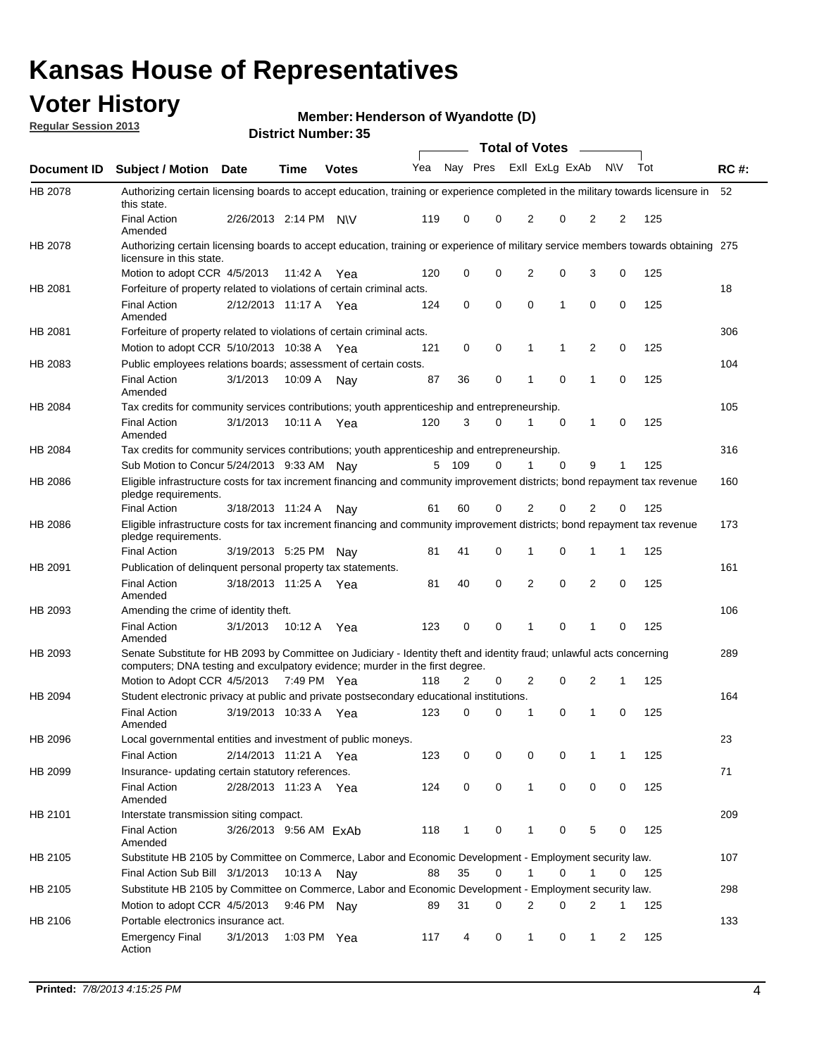## **Voter History**

**Member: Henderson of Wyandotte (D)** 

**Regular Session 2013**

|             |                                                                                                                                                                                                       |                        |             | DISTILL MUILIDEL. 33 |     |          |   | Total of Votes – |          |                |                |     |             |
|-------------|-------------------------------------------------------------------------------------------------------------------------------------------------------------------------------------------------------|------------------------|-------------|----------------------|-----|----------|---|------------------|----------|----------------|----------------|-----|-------------|
| Document ID | <b>Subject / Motion Date</b>                                                                                                                                                                          |                        | Time        | <b>Votes</b>         | Yea | Nay Pres |   | Exll ExLg ExAb   |          |                | <b>NV</b>      | Tot | <b>RC#:</b> |
| HB 2078     | Authorizing certain licensing boards to accept education, training or experience completed in the military towards licensure in<br>this state.                                                        |                        |             |                      |     |          |   |                  |          |                |                |     | 52          |
|             | <b>Final Action</b><br>Amended                                                                                                                                                                        | 2/26/2013 2:14 PM      |             | <b>NV</b>            | 119 | 0        | 0 | 2                | 0        | $\overline{2}$ | 2              | 125 |             |
| HB 2078     | Authorizing certain licensing boards to accept education, training or experience of military service members towards obtaining 275<br>licensure in this state.                                        |                        |             |                      |     |          |   |                  |          |                |                |     |             |
|             | Motion to adopt CCR 4/5/2013                                                                                                                                                                          |                        | 11:42 A     | Yea                  | 120 | 0        | 0 | $\overline{2}$   | 0        | 3              | 0              | 125 |             |
| HB 2081     | Forfeiture of property related to violations of certain criminal acts.                                                                                                                                |                        |             |                      |     |          |   |                  |          |                |                |     | 18          |
|             | <b>Final Action</b><br>Amended                                                                                                                                                                        | 2/12/2013 11:17 A Yea  |             |                      | 124 | 0        | 0 | 0                | 1        | 0              | 0              | 125 |             |
| HB 2081     | Forfeiture of property related to violations of certain criminal acts.                                                                                                                                |                        |             |                      |     |          |   |                  |          |                |                |     | 306         |
|             | Motion to adopt CCR 5/10/2013 10:38 A                                                                                                                                                                 |                        |             | Yea                  | 121 | 0        | 0 | 1                | 1        | 2              | 0              | 125 |             |
| HB 2083     | Public employees relations boards; assessment of certain costs.                                                                                                                                       |                        |             |                      |     |          |   |                  |          |                |                |     | 104         |
|             | <b>Final Action</b><br>Amended                                                                                                                                                                        | 3/1/2013               | 10:09 A     | Nav                  | 87  | 36       | 0 | 1                | 0        | 1              | $\mathbf 0$    | 125 |             |
| HB 2084     | Tax credits for community services contributions; youth apprenticeship and entrepreneurship.                                                                                                          |                        |             |                      |     |          |   |                  |          |                |                |     | 105         |
|             | <b>Final Action</b><br>Amended                                                                                                                                                                        | 3/1/2013               | 10:11 A     | Yea                  | 120 | 3        | 0 | 1                | 0        | 1              | 0              | 125 |             |
| HB 2084     | Tax credits for community services contributions; youth apprenticeship and entrepreneurship.                                                                                                          |                        |             |                      |     |          |   |                  |          |                |                |     | 316         |
|             | Sub Motion to Concur 5/24/2013 9:33 AM Nav                                                                                                                                                            |                        |             |                      | 5   | 109      | 0 |                  | $\Omega$ | 9              | 1              | 125 |             |
| HB 2086     | Eligible infrastructure costs for tax increment financing and community improvement districts; bond repayment tax revenue<br>pledge requirements.                                                     |                        |             |                      |     |          |   |                  |          |                |                |     | 160         |
|             | <b>Final Action</b>                                                                                                                                                                                   | 3/18/2013 11:24 A      |             | Nay                  | 61  | 60       | 0 | 2                | 0        | $\overline{2}$ | 0              | 125 |             |
| HB 2086     | Eligible infrastructure costs for tax increment financing and community improvement districts; bond repayment tax revenue<br>pledge requirements.                                                     |                        |             |                      |     |          |   |                  |          |                |                |     | 173         |
|             | <b>Final Action</b>                                                                                                                                                                                   | 3/19/2013 5:25 PM      |             | Nav                  | 81  | 41       | 0 | 1                | 0        | 1              | 1              | 125 |             |
| HB 2091     | Publication of delinguent personal property tax statements.                                                                                                                                           |                        |             |                      |     |          |   |                  |          |                |                |     | 161         |
|             | <b>Final Action</b><br>Amended                                                                                                                                                                        | 3/18/2013 11:25 A      |             | Yea                  | 81  | 40       | 0 | $\overline{2}$   | 0        | $\overline{2}$ | 0              | 125 |             |
| HB 2093     | Amending the crime of identity theft.                                                                                                                                                                 |                        |             |                      |     |          |   |                  |          |                |                |     | 106         |
|             | <b>Final Action</b><br>Amended                                                                                                                                                                        | 3/1/2013               | 10:12 A     | Yea                  | 123 | 0        | 0 |                  | 0        | 1              | 0              | 125 |             |
| HB 2093     | Senate Substitute for HB 2093 by Committee on Judiciary - Identity theft and identity fraud; unlawful acts concerning<br>computers; DNA testing and exculpatory evidence; murder in the first degree. |                        |             |                      |     |          |   |                  |          |                |                |     | 289         |
|             | Motion to Adopt CCR 4/5/2013 7:49 PM Yea                                                                                                                                                              |                        |             |                      | 118 | 2        | 0 | 2                | 0        | 2              | 1              | 125 |             |
| HB 2094     | Student electronic privacy at public and private postsecondary educational institutions.                                                                                                              |                        |             |                      |     |          |   |                  |          |                |                |     | 164         |
|             | <b>Final Action</b><br>Amended                                                                                                                                                                        | 3/19/2013 10:33 A      |             | Yea                  | 123 | 0        | 0 | 1                | 0        | 1              | 0              | 125 |             |
| HB 2096     | Local governmental entities and investment of public moneys.                                                                                                                                          |                        |             |                      |     |          |   |                  |          |                |                |     | 23          |
|             | <b>Final Action</b>                                                                                                                                                                                   | 2/14/2013 11:21 A      |             | Yea                  | 123 | 0        | 0 | 0                | 0        | 1              | 1              | 125 |             |
| HB 2099     | Insurance- updating certain statutory references.                                                                                                                                                     |                        |             |                      |     |          |   |                  |          |                |                |     | 71          |
|             | <b>Final Action</b><br>Amended                                                                                                                                                                        | 2/28/2013 11:23 A Yea  |             |                      | 124 | 0        | 0 | $\mathbf{1}$     | 0        | 0              | 0              | 125 |             |
| HB 2101     | Interstate transmission siting compact.                                                                                                                                                               |                        |             |                      |     |          |   |                  |          |                |                |     | 209         |
|             | <b>Final Action</b><br>Amended                                                                                                                                                                        | 3/26/2013 9:56 AM ExAb |             |                      | 118 | 1        | 0 | 1                | 0        | 5              | 0              | 125 |             |
| HB 2105     | Substitute HB 2105 by Committee on Commerce, Labor and Economic Development - Employment security law.                                                                                                |                        |             |                      |     |          |   |                  |          |                |                |     | 107         |
|             | Final Action Sub Bill 3/1/2013                                                                                                                                                                        |                        | 10:13 A Nay |                      | 88  | 35       | 0 | 1                | 0        | 1              | 0              | 125 |             |
| HB 2105     | Substitute HB 2105 by Committee on Commerce, Labor and Economic Development - Employment security law.                                                                                                |                        |             |                      |     |          |   |                  |          |                |                |     | 298         |
|             | Motion to adopt CCR 4/5/2013                                                                                                                                                                          |                        |             | 9:46 PM Nay          | 89  | 31       | 0 | 2                | 0        | 2              | 1              | 125 |             |
| HB 2106     | Portable electronics insurance act.                                                                                                                                                                   |                        |             |                      |     |          |   |                  |          |                |                |     | 133         |
|             | <b>Emergency Final</b><br>Action                                                                                                                                                                      | 3/1/2013               | 1:03 PM Yea |                      | 117 | 4        | 0 | 1                | 0        | $\mathbf{1}$   | $\overline{2}$ | 125 |             |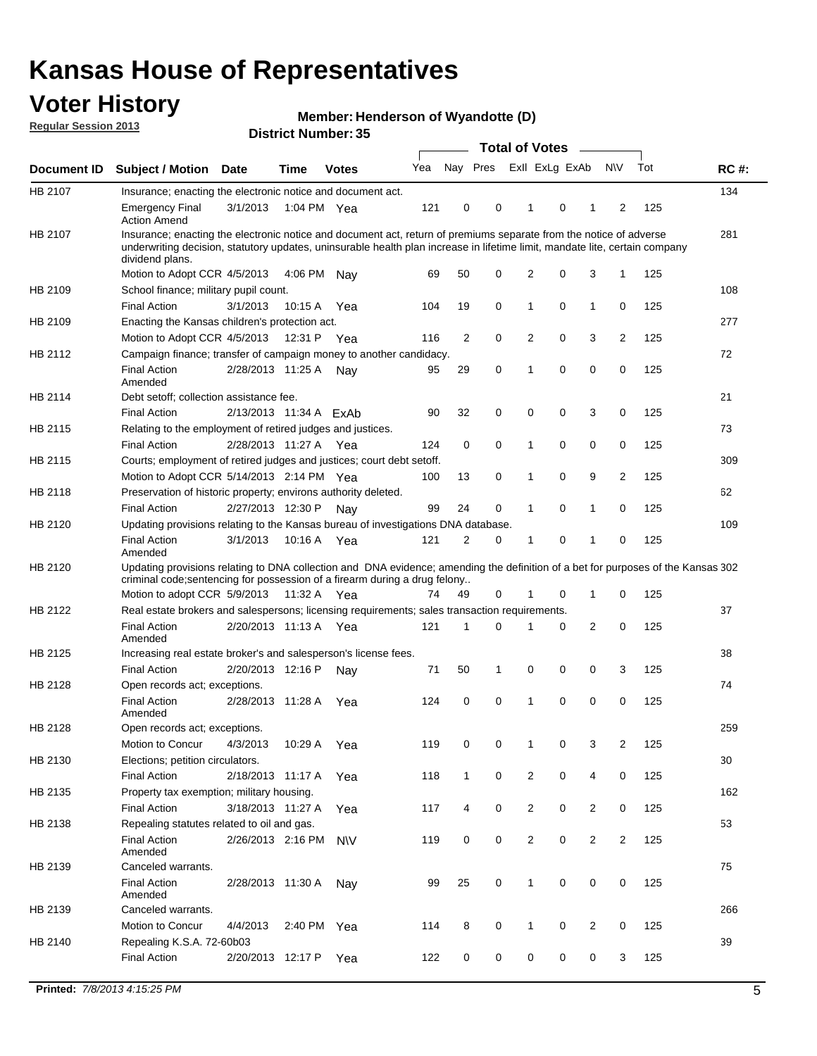## **Voter History**

**Member: Henderson of Wyandotte (D)** 

**Regular Session 2013**

|                    |                                                                                                                                                                                                                                                                      |                        |             | DISTILI MUITINGI . JJ |     |                |          | Total of Votes - |          |                |                |     |             |
|--------------------|----------------------------------------------------------------------------------------------------------------------------------------------------------------------------------------------------------------------------------------------------------------------|------------------------|-------------|-----------------------|-----|----------------|----------|------------------|----------|----------------|----------------|-----|-------------|
| <b>Document ID</b> | <b>Subject / Motion</b>                                                                                                                                                                                                                                              | <b>Date</b>            | <b>Time</b> | <b>Votes</b>          | Yea | Nay Pres       |          | Exll ExLg ExAb   |          |                | <b>NV</b>      | Tot | <b>RC#:</b> |
| HB 2107            | Insurance; enacting the electronic notice and document act.                                                                                                                                                                                                          |                        |             |                       |     |                |          |                  |          |                |                |     | 134         |
|                    | <b>Emergency Final</b><br><b>Action Amend</b>                                                                                                                                                                                                                        | 3/1/2013               | 1:04 PM Yea |                       | 121 | 0              | 0        | $\mathbf 1$      | 0        | 1              | 2              | 125 |             |
| HB 2107            | Insurance; enacting the electronic notice and document act, return of premiums separate from the notice of adverse<br>underwriting decision, statutory updates, uninsurable health plan increase in lifetime limit, mandate lite, certain company<br>dividend plans. |                        |             |                       |     |                |          |                  |          |                |                |     | 281         |
|                    | Motion to Adopt CCR 4/5/2013                                                                                                                                                                                                                                         |                        | 4:06 PM     | Nav                   | 69  | 50             | 0        | 2                | 0        | 3              | 1              | 125 |             |
| HB 2109            | School finance; military pupil count.                                                                                                                                                                                                                                |                        |             |                       |     |                |          |                  |          |                |                |     | 108         |
|                    | <b>Final Action</b>                                                                                                                                                                                                                                                  | 3/1/2013               | 10:15 A     | Yea                   | 104 | 19             | 0        | 1                | 0        | 1              | 0              | 125 |             |
| HB 2109            | Enacting the Kansas children's protection act.                                                                                                                                                                                                                       |                        |             |                       |     |                |          |                  |          |                |                |     | 277         |
|                    | Motion to Adopt CCR 4/5/2013                                                                                                                                                                                                                                         |                        | 12:31 P Yea |                       | 116 | 2              | 0        | 2                | 0        | 3              | $\overline{2}$ | 125 |             |
| HB 2112            | Campaign finance; transfer of campaign money to another candidacy.                                                                                                                                                                                                   |                        |             |                       |     |                |          |                  |          |                |                |     | 72          |
|                    | <b>Final Action</b><br>Amended                                                                                                                                                                                                                                       | 2/28/2013 11:25 A      |             | Nay                   | 95  | 29             | 0        | 1                | 0        | 0              | 0              | 125 |             |
| HB 2114            | Debt setoff; collection assistance fee.                                                                                                                                                                                                                              |                        |             |                       |     |                |          |                  |          |                |                |     | 21          |
|                    | <b>Final Action</b>                                                                                                                                                                                                                                                  | 2/13/2013 11:34 A ExAb |             |                       | 90  | 32             | 0        | 0                | 0        | 3              | 0              | 125 |             |
| HB 2115            | Relating to the employment of retired judges and justices.                                                                                                                                                                                                           |                        |             |                       |     |                |          |                  |          |                |                |     | 73          |
|                    | <b>Final Action</b>                                                                                                                                                                                                                                                  | 2/28/2013 11:27 A Yea  |             |                       | 124 | 0              | 0        | 1                | 0        | 0              | 0              | 125 |             |
| HB 2115            | Courts; employment of retired judges and justices; court debt setoff.                                                                                                                                                                                                |                        |             |                       |     |                |          |                  |          |                |                |     | 309         |
|                    | Motion to Adopt CCR 5/14/2013 2:14 PM Yea                                                                                                                                                                                                                            |                        |             |                       | 100 | 13             | 0        | 1                | 0        | 9              | $\overline{2}$ | 125 |             |
| HB 2118            | Preservation of historic property; environs authority deleted.                                                                                                                                                                                                       |                        |             |                       |     |                |          |                  |          |                |                |     | 62          |
|                    | <b>Final Action</b>                                                                                                                                                                                                                                                  | 2/27/2013 12:30 P      |             | Nav                   | 99  | 24             | 0        | 1                | 0        | 1              | 0              | 125 |             |
| HB 2120            | Updating provisions relating to the Kansas bureau of investigations DNA database.                                                                                                                                                                                    |                        |             |                       |     |                |          |                  |          |                |                |     | 109         |
|                    | <b>Final Action</b><br>Amended                                                                                                                                                                                                                                       | 3/1/2013               | 10:16 A     | Yea                   | 121 | $\overline{2}$ | 0        | 1                | 0        | 1              | 0              | 125 |             |
| HB 2120            | Updating provisions relating to DNA collection and DNA evidence; amending the definition of a bet for purposes of the Kansas 302<br>criminal code; sentencing for possession of a firearm during a drug felony                                                       |                        |             |                       |     |                |          |                  |          |                |                |     |             |
|                    | Motion to adopt CCR 5/9/2013 11:32 A Yea                                                                                                                                                                                                                             |                        |             |                       | 74  | 49             | 0        |                  | 0        | 1              | 0              | 125 |             |
| HB 2122            | Real estate brokers and salespersons; licensing requirements; sales transaction requirements.                                                                                                                                                                        |                        |             |                       |     | 1              | $\Omega$ |                  |          |                |                |     | 37          |
|                    | <b>Final Action</b><br>Amended                                                                                                                                                                                                                                       | 2/20/2013 11:13 A      |             | Yea                   | 121 |                |          |                  | 0        | $\overline{2}$ | 0              | 125 |             |
| HB 2125            | Increasing real estate broker's and salesperson's license fees.                                                                                                                                                                                                      |                        |             |                       |     |                |          |                  |          |                |                |     | 38          |
|                    | <b>Final Action</b>                                                                                                                                                                                                                                                  | 2/20/2013 12:16 P      |             | Nav                   | 71  | 50             | 1        | 0                | 0        | 0              | 3              | 125 |             |
| HB 2128            | Open records act; exceptions.                                                                                                                                                                                                                                        |                        |             |                       |     |                |          |                  |          |                |                |     | 74          |
|                    | <b>Final Action</b><br>Amended                                                                                                                                                                                                                                       | 2/28/2013 11:28 A      |             | Yea                   | 124 | 0              | 0        | 1                | $\Omega$ | 0              | 0              | 125 |             |
| HB 2128            | Open records act; exceptions.                                                                                                                                                                                                                                        |                        |             |                       |     |                |          |                  |          |                |                |     | 259         |
|                    | Motion to Concur                                                                                                                                                                                                                                                     | 4/3/2013               | 10:29 A     | Yea                   | 119 | 0              | 0        |                  | 0        | 3              | 2              | 125 |             |
| HB 2130            | Elections; petition circulators.                                                                                                                                                                                                                                     |                        |             |                       |     |                |          |                  |          |                |                |     | 30          |
|                    | <b>Final Action</b>                                                                                                                                                                                                                                                  | 2/18/2013 11:17 A      |             | Yea                   | 118 | $\mathbf{1}$   | 0        | 2                | 0        | 4              | 0              | 125 |             |
| HB 2135            | Property tax exemption; military housing.                                                                                                                                                                                                                            |                        |             |                       |     |                |          |                  |          |                |                |     | 162         |
|                    | <b>Final Action</b>                                                                                                                                                                                                                                                  | 3/18/2013 11:27 A      |             | Yea                   | 117 | 4              | 0        | 2                | 0        | $\overline{2}$ | 0              | 125 |             |
| HB 2138            | Repealing statutes related to oil and gas.                                                                                                                                                                                                                           |                        |             |                       |     |                |          |                  |          |                |                |     | 53          |
|                    | <b>Final Action</b><br>Amended                                                                                                                                                                                                                                       | 2/26/2013 2:16 PM      |             | <b>NV</b>             | 119 | 0              | 0        | 2                | 0        | $\overline{2}$ | $\overline{2}$ | 125 |             |
| HB 2139            | Canceled warrants.                                                                                                                                                                                                                                                   |                        |             |                       |     |                |          |                  |          |                |                |     | 75          |
|                    | <b>Final Action</b><br>Amended                                                                                                                                                                                                                                       | 2/28/2013 11:30 A      |             | Nay                   | 99  | 25             | 0        | 1                | 0        | 0              | 0              | 125 |             |
| HB 2139            | Canceled warrants.                                                                                                                                                                                                                                                   |                        |             |                       |     |                |          |                  |          |                |                |     | 266         |
|                    | Motion to Concur                                                                                                                                                                                                                                                     | 4/4/2013               | 2:40 PM     | Yea                   | 114 | 8              | 0        | 1                | 0        | 2              | 0              | 125 |             |
| HB 2140            | Repealing K.S.A. 72-60b03                                                                                                                                                                                                                                            |                        |             |                       |     |                |          |                  |          |                |                |     | 39          |
|                    | <b>Final Action</b>                                                                                                                                                                                                                                                  | 2/20/2013 12:17 P      |             | Yea                   | 122 | 0              | 0        | 0                | 0        | 0              | 3              | 125 |             |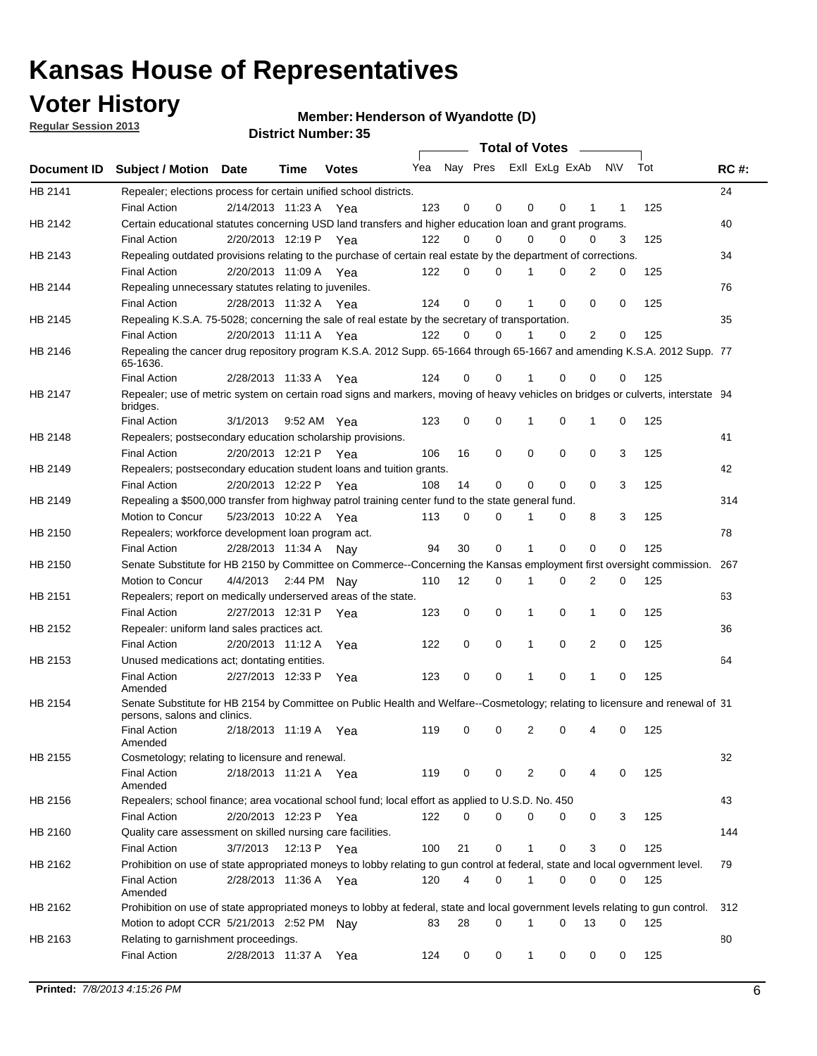## **Voter History**

**Member: Henderson of Wyandotte (D)** 

**Regular Session 2013**

|         |                                                                                                                                              |          |                       |              |                             |    | <b>Total of Votes</b> |              |          | $\sim$      |     |     |             |
|---------|----------------------------------------------------------------------------------------------------------------------------------------------|----------|-----------------------|--------------|-----------------------------|----|-----------------------|--------------|----------|-------------|-----|-----|-------------|
|         | Document ID Subject / Motion Date                                                                                                            |          | Time                  | <b>Votes</b> | Yea Nay Pres ExII ExLg ExAb |    |                       |              |          |             | N\V | Tot | <b>RC#:</b> |
| HB 2141 | Repealer; elections process for certain unified school districts.                                                                            |          |                       |              |                             |    |                       |              |          |             |     |     | 24          |
|         | <b>Final Action</b>                                                                                                                          |          | 2/14/2013 11:23 A     | Yea          | 123                         | 0  | 0                     | 0            | 0        | 1           | 1   | 125 |             |
| HB 2142 | Certain educational statutes concerning USD land transfers and higher education loan and grant programs.                                     |          |                       |              |                             |    |                       |              |          |             |     |     | 40          |
|         | <b>Final Action</b>                                                                                                                          |          | 2/20/2013 12:19 P     | Yea          | 122                         | 0  | 0                     | 0            | 0        | 0           | 3   | 125 |             |
| HB 2143 | Repealing outdated provisions relating to the purchase of certain real estate by the department of corrections.                              |          |                       |              |                             |    |                       |              |          |             |     |     | 34          |
|         | <b>Final Action</b>                                                                                                                          |          | 2/20/2013 11:09 A Yea |              | 122                         | 0  | 0                     |              | 0        | 2           | 0   | 125 |             |
| HB 2144 | Repealing unnecessary statutes relating to juveniles.                                                                                        |          |                       |              |                             |    |                       |              |          |             |     |     | 76          |
|         | <b>Final Action</b>                                                                                                                          |          | 2/28/2013 11:32 A Yea |              | 124                         | 0  | 0                     |              | 0        | 0           | 0   | 125 |             |
| HB 2145 | Repealing K.S.A. 75-5028; concerning the sale of real estate by the secretary of transportation.                                             |          |                       |              |                             |    |                       |              |          |             |     |     | 35          |
|         | <b>Final Action</b>                                                                                                                          |          | 2/20/2013 11:11 A Yea |              | 122                         | 0  | 0                     |              | 0        | 2           | 0   | 125 |             |
| HB 2146 | Repealing the cancer drug repository program K.S.A. 2012 Supp. 65-1664 through 65-1667 and amending K.S.A. 2012 Supp. 77<br>65-1636.         |          |                       |              |                             |    |                       |              |          |             |     |     |             |
|         | <b>Final Action</b>                                                                                                                          |          | 2/28/2013 11:33 A     | Yea          | 124                         | 0  | 0                     |              | 0        | 0           | 0   | 125 |             |
| HB 2147 | Repealer; use of metric system on certain road signs and markers, moving of heavy vehicles on bridges or culverts, interstate 94<br>bridges. |          |                       |              |                             |    |                       |              |          |             |     |     |             |
|         | <b>Final Action</b>                                                                                                                          | 3/1/2013 |                       | 9:52 AM Yea  | 123                         | 0  | 0                     | 1            | 0        | 1           | 0   | 125 |             |
| HB 2148 | Repealers; postsecondary education scholarship provisions.                                                                                   |          |                       |              |                             |    |                       |              |          |             |     |     | 41          |
|         | <b>Final Action</b>                                                                                                                          |          | 2/20/2013 12:21 P     | Yea          | 106                         | 16 | 0                     | 0            | 0        | 0           | 3   | 125 |             |
| HB 2149 | Repealers; postsecondary education student loans and tuition grants.                                                                         |          |                       |              |                             |    |                       |              |          |             |     |     | 42          |
|         | <b>Final Action</b>                                                                                                                          |          | 2/20/2013 12:22 P     | Yea          | 108                         | 14 | 0                     | 0            | 0        | $\Omega$    | 3   | 125 |             |
| HB 2149 | Repealing a \$500,000 transfer from highway patrol training center fund to the state general fund.                                           |          |                       |              |                             |    |                       |              |          |             |     |     | 314         |
|         | Motion to Concur                                                                                                                             |          | 5/23/2013 10:22 A Yea |              | 113                         | 0  | 0                     |              | 0        | 8           | 3   | 125 |             |
| HB 2150 | Repealers; workforce development loan program act.                                                                                           |          |                       |              |                             |    |                       |              |          |             |     |     | 78          |
|         | <b>Final Action</b>                                                                                                                          |          | 2/28/2013 11:34 A     | Nay          | 94                          | 30 | 0                     | 1            | 0        | $\mathbf 0$ | 0   | 125 |             |
| HB 2150 | Senate Substitute for HB 2150 by Committee on Commerce--Concerning the Kansas employment first oversight commission.                         |          |                       |              |                             |    |                       |              |          |             |     |     | 267         |
|         | Motion to Concur                                                                                                                             | 4/4/2013 |                       | 2:44 PM Nay  | 110                         | 12 | 0                     | 1            | 0        | 2           | 0   | 125 |             |
| HB 2151 | Repealers; report on medically underserved areas of the state.                                                                               |          |                       |              |                             |    |                       |              |          |             |     |     | 63          |
|         | <b>Final Action</b>                                                                                                                          |          | 2/27/2013 12:31 P     | Yea          | 123                         | 0  | 0                     | 1            | 0        | 1           | 0   | 125 |             |
| HB 2152 | Repealer: uniform land sales practices act.                                                                                                  |          |                       |              |                             |    |                       |              |          |             |     |     | 36          |
|         | <b>Final Action</b>                                                                                                                          |          | 2/20/2013 11:12 A     | Yea          | 122                         | 0  | 0                     | 1            | 0        | 2           | 0   | 125 |             |
| HB 2153 | Unused medications act; dontating entities.                                                                                                  |          |                       |              |                             |    |                       |              |          |             |     |     | 64          |
|         | <b>Final Action</b><br>Amended                                                                                                               |          | 2/27/2013 12:33 P     | Yea          | 123                         | 0  | 0                     |              | 0        | 1           | 0   | 125 |             |
| HB 2154 | Senate Substitute for HB 2154 by Committee on Public Health and Welfare--Cosmetology; relating to licensure and renewal of 31                |          |                       |              |                             |    |                       |              |          |             |     |     |             |
|         | persons, salons and clinics.                                                                                                                 |          |                       |              |                             |    |                       |              |          |             |     |     |             |
|         | <b>Final Action</b><br>Amended                                                                                                               |          | 2/18/2013 11:19 A     | Yea          | 119                         | 0  | 0                     | 2            | 0        | 4           | 0   | 125 |             |
| HB 2155 | Cosmetology; relating to licensure and renewal.                                                                                              |          |                       |              |                             |    |                       |              |          |             |     |     | 32          |
|         | <b>Final Action</b><br>Amended                                                                                                               |          | 2/18/2013 11:21 A Yea |              | 119                         | 0  | 0                     | 2            | 0        | 4           | 0   | 125 |             |
| HB 2156 | Repealers; school finance; area vocational school fund; local effort as applied to U.S.D. No. 450                                            |          |                       |              |                             |    |                       |              |          |             |     |     | 43          |
|         | <b>Final Action</b>                                                                                                                          |          | 2/20/2013 12:23 P     | Yea          | 122                         | 0  | 0                     | 0            | 0        | 0           | 3   | 125 |             |
| HB 2160 | Quality care assessment on skilled nursing care facilities.                                                                                  |          |                       |              |                             |    |                       |              |          |             |     |     | 144         |
|         | <b>Final Action</b>                                                                                                                          | 3/7/2013 | 12:13 P               | Yea          | 100                         | 21 | 0                     | $\mathbf{1}$ | 0        | 3           | 0   | 125 |             |
| HB 2162 | Prohibition on use of state appropriated moneys to lobby relating to gun control at federal, state and local ogvernment level.               |          |                       |              |                             |    |                       |              |          |             |     |     | 79          |
|         | <b>Final Action</b>                                                                                                                          |          | 2/28/2013 11:36 A Yea |              | 120                         | 4  | 0                     | 1            | 0        | 0           | 0   | 125 |             |
|         | Amended                                                                                                                                      |          |                       |              |                             |    |                       |              |          |             |     |     |             |
| HB 2162 | Prohibition on use of state appropriated moneys to lobby at federal, state and local government levels relating to gun control.              |          |                       |              |                             |    |                       |              |          |             |     |     | 312         |
|         | Motion to adopt CCR 5/21/2013 2:52 PM Nay                                                                                                    |          |                       |              | 83                          | 28 | 0                     | 1            | $\Omega$ | 13          | 0   | 125 |             |
| HB 2163 | Relating to garnishment proceedings.<br><b>Final Action</b>                                                                                  |          | 2/28/2013 11:37 A     | Yea          | 124                         | 0  | 0                     | $\mathbf{1}$ | 0        | 0           | 0   | 125 | 80          |
|         |                                                                                                                                              |          |                       |              |                             |    |                       |              |          |             |     |     |             |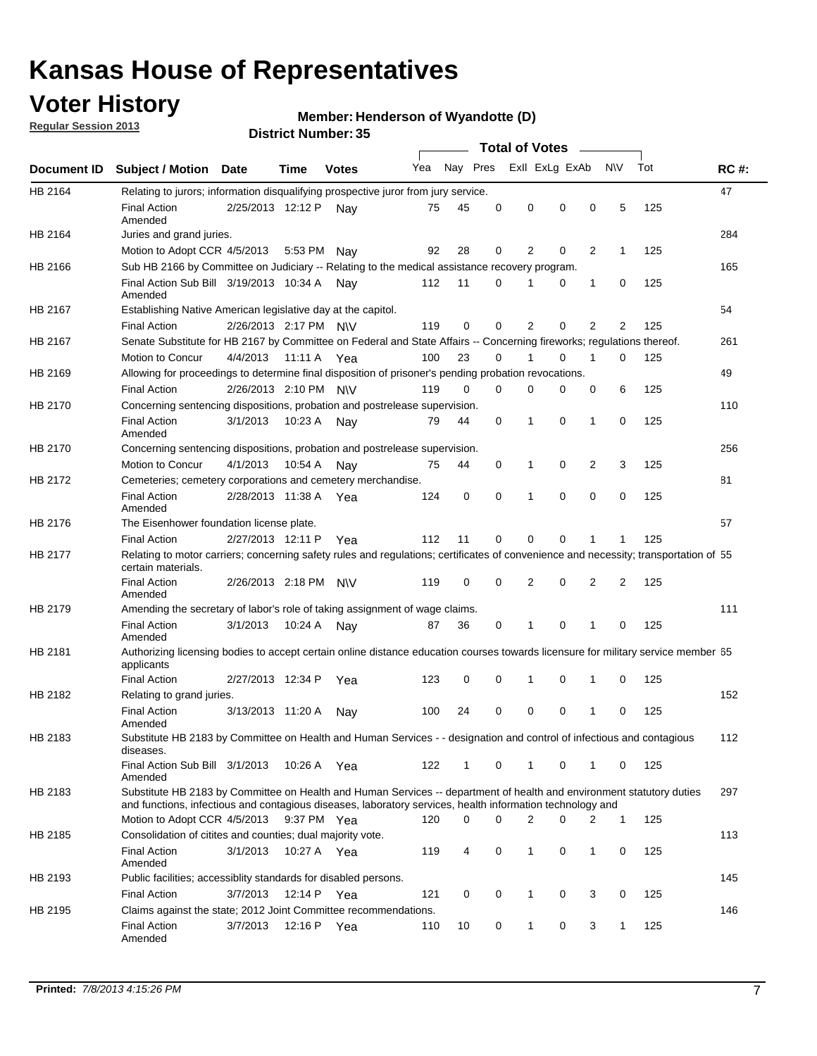## **Voter History**

**Member: Henderson of Wyandotte (D)** 

**Regular Session 2013**

|             |                                                                                                                                                                                                                                    |                       |             | DISTILI MUITINGI . JJ |     |              | <b>Total of Votes</b> |                |                |                |              |     |             |
|-------------|------------------------------------------------------------------------------------------------------------------------------------------------------------------------------------------------------------------------------------|-----------------------|-------------|-----------------------|-----|--------------|-----------------------|----------------|----------------|----------------|--------------|-----|-------------|
| Document ID | <b>Subject / Motion</b>                                                                                                                                                                                                            | Date                  | Time        | <b>Votes</b>          | Yea | Nay Pres     |                       |                | Exll ExLg ExAb | $\sim$         | N\V          | Tot | <b>RC#:</b> |
|             |                                                                                                                                                                                                                                    |                       |             |                       |     |              |                       |                |                |                |              |     |             |
| HB 2164     | Relating to jurors; information disqualifying prospective juror from jury service.<br><b>Final Action</b><br>Amended                                                                                                               | 2/25/2013 12:12 P     |             | Nav                   | 75  | 45           | 0                     | 0              | 0              | 0              | 5            | 125 | 47          |
| HB 2164     | Juries and grand juries.                                                                                                                                                                                                           |                       |             |                       |     |              |                       |                |                |                |              |     | 284         |
|             | Motion to Adopt CCR 4/5/2013                                                                                                                                                                                                       |                       | 5:53 PM     | Nay                   | 92  | 28           | 0                     | 2              | 0              | 2              | 1            | 125 |             |
| HB 2166     | Sub HB 2166 by Committee on Judiciary -- Relating to the medical assistance recovery program.                                                                                                                                      |                       |             |                       |     |              |                       |                |                |                |              |     | 165         |
|             | Final Action Sub Bill 3/19/2013 10:34 A<br>Amended                                                                                                                                                                                 |                       |             | Nav                   | 112 | 11           | 0                     | 1              | 0              | 1              | 0            | 125 |             |
| HB 2167     | Establishing Native American legislative day at the capitol.                                                                                                                                                                       |                       |             |                       |     |              |                       |                |                |                |              |     | 54          |
|             | <b>Final Action</b>                                                                                                                                                                                                                | 2/26/2013 2:17 PM N\V |             |                       | 119 | 0            | $\Omega$              | 2              | 0              | 2              | 2            | 125 |             |
| HB 2167     | Senate Substitute for HB 2167 by Committee on Federal and State Affairs -- Concerning fireworks; regulations thereof.                                                                                                              |                       |             |                       |     |              |                       |                |                |                |              |     | 261         |
|             | Motion to Concur                                                                                                                                                                                                                   | 4/4/2013              | 11:11 A Yea |                       | 100 | 23           | $\Omega$              | 1              | 0              | 1              | 0            | 125 |             |
| HB 2169     | Allowing for proceedings to determine final disposition of prisoner's pending probation revocations.                                                                                                                               |                       |             |                       |     |              |                       |                |                |                |              |     | 49          |
|             | <b>Final Action</b>                                                                                                                                                                                                                | 2/26/2013 2:10 PM N\V |             |                       | 119 | 0            | $\Omega$              | 0              | 0              | 0              | 6            | 125 |             |
| HB 2170     | Concerning sentencing dispositions, probation and postrelease supervision.                                                                                                                                                         |                       |             |                       |     |              |                       |                |                |                |              |     | 110         |
|             | <b>Final Action</b><br>Amended                                                                                                                                                                                                     | 3/1/2013              | 10:23 A     | Nay                   | 79  | 44           | 0                     | 1              | 0              | 1              | 0            | 125 |             |
| HB 2170     | Concerning sentencing dispositions, probation and postrelease supervision.                                                                                                                                                         |                       |             |                       |     |              |                       |                |                |                |              |     | 256         |
|             | Motion to Concur                                                                                                                                                                                                                   | 4/1/2013              | 10:54 A     | Nav                   | 75  | 44           | 0                     | 1              | 0              | 2              | 3            | 125 |             |
| HB 2172     | Cemeteries; cemetery corporations and cemetery merchandise.                                                                                                                                                                        |                       |             |                       |     |              |                       |                |                |                |              |     | 81          |
|             | <b>Final Action</b><br>Amended                                                                                                                                                                                                     | 2/28/2013 11:38 A     |             | Yea                   | 124 | 0            | $\Omega$              | 1              | $\Omega$       | $\Omega$       | 0            | 125 |             |
| HB 2176     | The Eisenhower foundation license plate.                                                                                                                                                                                           |                       |             |                       |     |              |                       |                |                |                |              |     | 57          |
|             | <b>Final Action</b>                                                                                                                                                                                                                | 2/27/2013 12:11 P     |             | Yea                   | 112 | 11           | 0                     | 0              | 0              | 1              | 1            | 125 |             |
| HB 2177     | Relating to motor carriers; concerning safety rules and regulations; certificates of convenience and necessity; transportation of 55<br>certain materials.                                                                         |                       |             |                       |     |              |                       |                |                |                |              |     |             |
|             | <b>Final Action</b><br>Amended                                                                                                                                                                                                     | 2/26/2013 2:18 PM     |             | <b>NV</b>             | 119 | 0            | $\Omega$              | $\overline{2}$ | 0              | $\overline{2}$ | 2            | 125 |             |
| HB 2179     | Amending the secretary of labor's role of taking assignment of wage claims.                                                                                                                                                        |                       |             |                       |     |              |                       |                |                |                |              |     | 111         |
|             | <b>Final Action</b><br>Amended                                                                                                                                                                                                     | 3/1/2013              | 10:24 A     | Nav                   | 87  | 36           | 0                     | 1              | 0              | 1              | 0            | 125 |             |
| HB 2181     | Authorizing licensing bodies to accept certain online distance education courses towards licensure for military service member 55<br>applicants                                                                                    |                       |             |                       |     |              |                       |                |                |                |              |     |             |
|             | <b>Final Action</b>                                                                                                                                                                                                                | 2/27/2013 12:34 P     |             | Yea                   | 123 | 0            | 0                     | 1              | 0              | 1              | 0            | 125 |             |
| HB 2182     | Relating to grand juries.                                                                                                                                                                                                          |                       |             |                       |     |              |                       |                |                |                |              |     | 152         |
|             | <b>Final Action</b><br>Amended                                                                                                                                                                                                     | 3/13/2013 11:20 A     |             | Nav                   | 100 | 24           | 0                     | 0              | 0              | 1              | 0            | 125 |             |
| HB 2183     | Substitute HB 2183 by Committee on Health and Human Services - - designation and control of infectious and contagious<br>diseases.                                                                                                 |                       |             |                       |     |              |                       |                |                |                |              |     | 112         |
|             | Final Action Sub Bill 3/1/2013<br>Amended                                                                                                                                                                                          |                       |             | 10:26 A Yea           | 122 | $\mathbf{1}$ | 0                     | $\mathbf{1}$   | 0              | $\mathbf{1}$   | 0            | 125 |             |
| HB 2183     | Substitute HB 2183 by Committee on Health and Human Services -- department of health and environment statutory duties<br>and functions, infectious and contagious diseases, laboratory services, health information technology and |                       |             |                       |     |              |                       |                |                |                |              |     | 297         |
|             | Motion to Adopt CCR 4/5/2013                                                                                                                                                                                                       |                       |             | 9:37 PM Yea           | 120 | 0            | 0                     | 2              | 0              | 2              | $\mathbf{1}$ | 125 |             |
| HB 2185     | Consolidation of citites and counties; dual majority vote.                                                                                                                                                                         |                       |             |                       |     |              |                       |                |                |                |              |     | 113         |
|             | <b>Final Action</b><br>Amended                                                                                                                                                                                                     | 3/1/2013              |             | 10:27 A Yea           | 119 | 4            | 0                     | $\mathbf{1}$   | 0              | 1              | 0            | 125 |             |
| HB 2193     | Public facilities; accessiblity standards for disabled persons.                                                                                                                                                                    |                       |             |                       |     |              |                       |                |                |                |              |     | 145         |
|             | <b>Final Action</b>                                                                                                                                                                                                                | 3/7/2013              | 12:14 P Yea |                       | 121 | 0            | 0                     | 1              | 0              | 3              | 0            | 125 |             |
| HB 2195     | Claims against the state; 2012 Joint Committee recommendations.                                                                                                                                                                    |                       |             |                       |     |              |                       |                |                |                |              |     | 146         |
|             | <b>Final Action</b><br>Amended                                                                                                                                                                                                     | 3/7/2013              | 12:16 P Yea |                       | 110 | 10           | 0                     | 1              | 0              | 3              | 1            | 125 |             |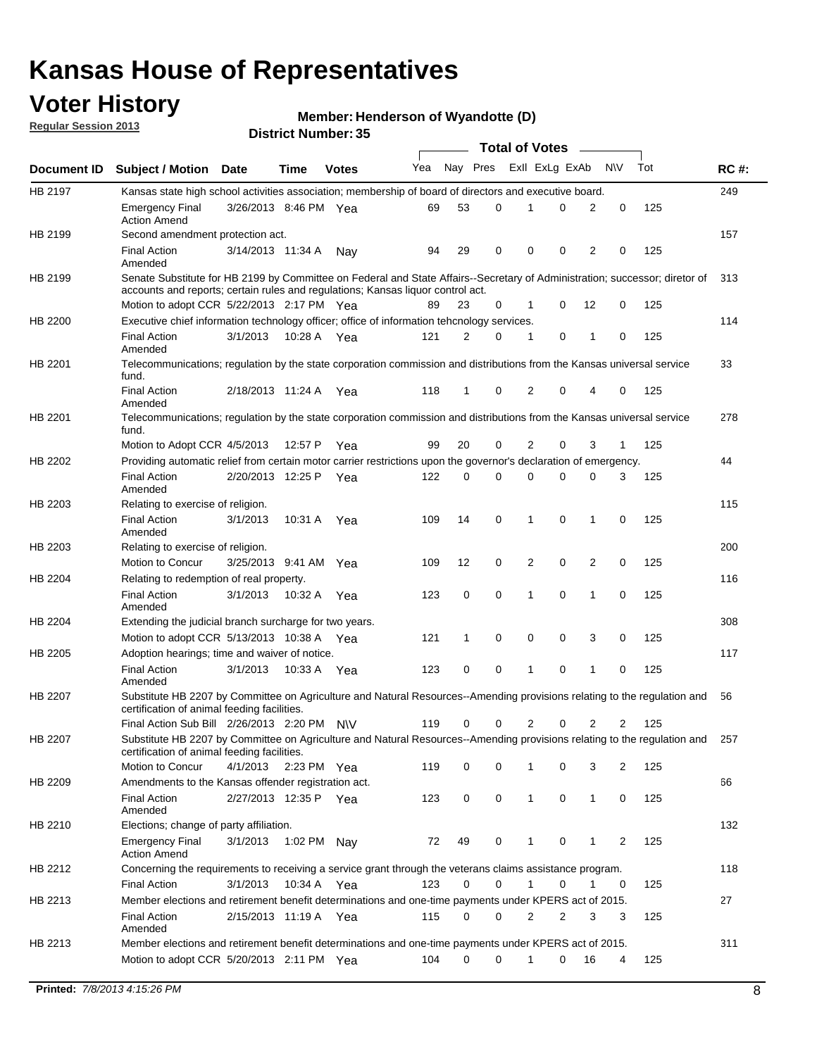## **Voter History**

**Member: Henderson of Wyandotte (D)** 

**Regular Session 2013**

|                |                                                                                                                                                                             |                       |             |              |     |             | <b>Total of Votes</b> |                |   |                |              |     |             |
|----------------|-----------------------------------------------------------------------------------------------------------------------------------------------------------------------------|-----------------------|-------------|--------------|-----|-------------|-----------------------|----------------|---|----------------|--------------|-----|-------------|
| Document ID    | <b>Subject / Motion Date</b>                                                                                                                                                |                       | Time        | <b>Votes</b> | Yea | Nay Pres    |                       | Exll ExLg ExAb |   |                | <b>NV</b>    | Tot | <b>RC#:</b> |
| <b>HB 2197</b> | Kansas state high school activities association; membership of board of directors and executive board.                                                                      |                       |             |              |     |             |                       |                |   |                |              |     | 249         |
|                | <b>Emergency Final</b><br><b>Action Amend</b>                                                                                                                               | 3/26/2013 8:46 PM Yea |             |              | 69  | 53          | 0                     |                | 0 | 2              | 0            | 125 |             |
| HB 2199        | Second amendment protection act.                                                                                                                                            |                       |             |              |     |             |                       |                |   |                |              |     | 157         |
|                | <b>Final Action</b><br>Amended                                                                                                                                              | 3/14/2013 11:34 A     |             | Nav          | 94  | 29          | 0                     | 0              | 0 | 2              | 0            | 125 |             |
| HB 2199        | Senate Substitute for HB 2199 by Committee on Federal and State Affairs--Secretary of Administration; successor; diretor of                                                 |                       |             |              |     |             |                       |                |   |                |              |     | 313         |
|                | accounts and reports; certain rules and regulations; Kansas liguor control act.                                                                                             |                       |             |              |     |             |                       |                |   |                |              |     |             |
|                | Motion to adopt CCR 5/22/2013 2:17 PM Yea                                                                                                                                   |                       |             |              | 89  | 23          | 0                     | 1              | 0 | 12             | 0            | 125 |             |
| HB 2200        | Executive chief information technology officer; office of information tehcnology services.                                                                                  |                       |             |              |     |             |                       |                |   |                |              |     | 114         |
|                | <b>Final Action</b><br>Amended                                                                                                                                              | 3/1/2013              | 10:28 A     | Yea          | 121 | 2           | 0                     | 1              | 0 | 1              | 0            | 125 |             |
| HB 2201        | Telecommunications; regulation by the state corporation commission and distributions from the Kansas universal service<br>fund.                                             |                       |             |              |     |             |                       |                |   |                |              |     | 33          |
|                | <b>Final Action</b><br>Amended                                                                                                                                              | 2/18/2013 11:24 A     |             | Yea          | 118 | 1           | 0                     | 2              | 0 | 4              | 0            | 125 |             |
| HB 2201        | Telecommunications; regulation by the state corporation commission and distributions from the Kansas universal service<br>fund.                                             |                       |             |              |     |             |                       |                |   |                |              |     | 278         |
|                | Motion to Adopt CCR 4/5/2013                                                                                                                                                |                       | 12:57 P     | Yea          | 99  | 20          | 0                     | 2              | 0 | 3              | $\mathbf{1}$ | 125 |             |
| HB 2202        | Providing automatic relief from certain motor carrier restrictions upon the governor's declaration of emergency.                                                            |                       |             |              |     |             |                       |                |   |                |              |     | 44          |
|                | <b>Final Action</b><br>Amended                                                                                                                                              | 2/20/2013 12:25 P     |             | Yea          | 122 | 0           | 0                     | 0              | 0 | 0              | 3            | 125 |             |
| HB 2203        | Relating to exercise of religion.                                                                                                                                           |                       |             |              |     |             |                       |                |   |                |              |     | 115         |
|                | <b>Final Action</b><br>Amended                                                                                                                                              | 3/1/2013              | 10:31 A     | Yea          | 109 | 14          | 0                     | 1              | 0 | 1              | 0            | 125 |             |
| HB 2203        | Relating to exercise of religion.                                                                                                                                           |                       |             |              |     |             |                       |                |   |                |              |     | 200         |
|                | Motion to Concur                                                                                                                                                            | 3/25/2013 9:41 AM     |             | Yea          | 109 | 12          | 0                     | 2              | 0 | 2              | 0            | 125 |             |
| HB 2204        | Relating to redemption of real property.                                                                                                                                    |                       |             |              |     |             |                       |                |   |                |              |     | 116         |
|                | <b>Final Action</b><br>Amended                                                                                                                                              | 3/1/2013              | 10:32 A     | Yea          | 123 | $\mathbf 0$ | 0                     | 1              | 0 | $\mathbf{1}$   | 0            | 125 |             |
| HB 2204        | Extending the judicial branch surcharge for two years.                                                                                                                      |                       |             |              |     |             |                       |                |   |                |              |     | 308         |
|                | Motion to adopt CCR 5/13/2013 10:38 A Yea                                                                                                                                   |                       |             |              | 121 | 1           | 0                     | 0              | 0 | 3              | 0            | 125 |             |
| HB 2205        | Adoption hearings; time and waiver of notice.                                                                                                                               |                       |             |              |     |             |                       |                |   |                |              |     | 117         |
|                | <b>Final Action</b><br>Amended                                                                                                                                              | 3/1/2013              | 10:33 A Yea |              | 123 | 0           | 0                     | 1              | 0 | 1              | 0            | 125 |             |
| HB 2207        | Substitute HB 2207 by Committee on Agriculture and Natural Resources--Amending provisions relating to the regulation and<br>certification of animal feeding facilities.     |                       |             |              |     |             |                       |                |   |                |              |     | 56          |
|                | Final Action Sub Bill 2/26/2013 2:20 PM N\V                                                                                                                                 |                       |             |              | 119 | 0           | 0                     | 2              | 0 | $\overline{2}$ | 2            | 125 |             |
| HB 2207        | Substitute HB 2207 by Committee on Agriculture and Natural Resources--Amending provisions relating to the regulation and 257<br>certification of animal feeding facilities. |                       |             |              |     |             |                       |                |   |                |              |     |             |
|                | Motion to Concur                                                                                                                                                            | 4/1/2013              | 2:23 PM Yea |              | 119 | 0           | 0                     | 1              | 0 | 3              | 2            | 125 |             |
| HB 2209        | Amendments to the Kansas offender registration act.                                                                                                                         |                       |             |              |     |             |                       |                |   |                |              |     | 66          |
|                | <b>Final Action</b><br>Amended                                                                                                                                              | 2/27/2013 12:35 P Yea |             |              | 123 | 0           | 0                     | $\mathbf{1}$   | 0 | $\mathbf{1}$   | 0            | 125 |             |
| HB 2210        | Elections; change of party affiliation.                                                                                                                                     |                       |             |              |     |             |                       |                |   |                |              |     | 132         |
|                | <b>Emergency Final</b><br><b>Action Amend</b>                                                                                                                               | 3/1/2013              | 1:02 PM Nay |              | 72  | 49          | 0                     |                | 0 | 1              | 2            | 125 |             |
| HB 2212        | Concerning the requirements to receiving a service grant through the veterans claims assistance program.                                                                    |                       |             |              |     |             |                       |                |   |                |              |     | 118         |
|                | <b>Final Action</b>                                                                                                                                                         | 3/1/2013              | 10:34 A Yea |              | 123 | 0           | 0                     | $\mathbf{1}$   | 0 | 1              | 0            | 125 |             |
| HB 2213        | Member elections and retirement benefit determinations and one-time payments under KPERS act of 2015.                                                                       |                       |             |              |     |             |                       |                |   |                |              |     | 27          |
|                | <b>Final Action</b><br>Amended                                                                                                                                              | 2/15/2013 11:19 A Yea |             |              | 115 | 0           | 0                     | 2              | 2 | 3              | 3            | 125 |             |
| HB 2213        | Member elections and retirement benefit determinations and one-time payments under KPERS act of 2015.                                                                       |                       |             |              |     |             |                       |                |   |                |              |     | 311         |
|                | Motion to adopt CCR 5/20/2013 2:11 PM Yea                                                                                                                                   |                       |             |              | 104 | $\Omega$    | 0                     | 1              | 0 | 16             | 4            | 125 |             |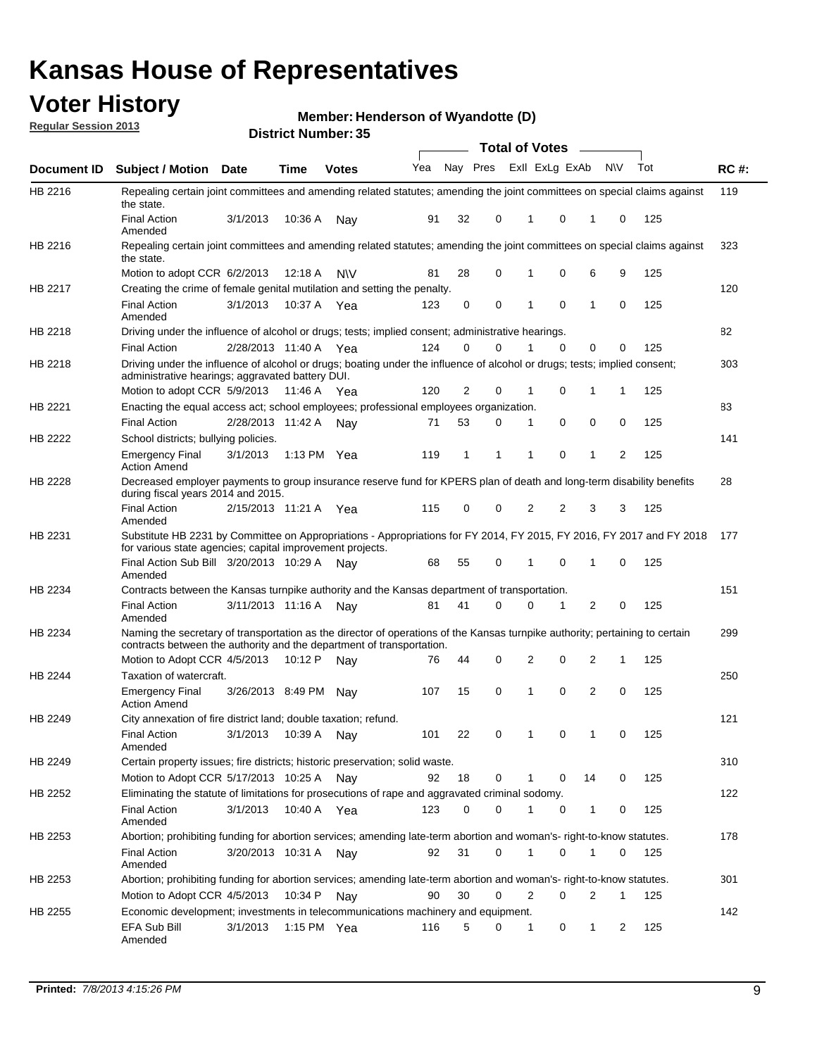## **Voter History**

**Member: Henderson of Wyandotte (D)** 

**Regular Session 2013**

|             |                                                                                                                                                                                                       |                       |             | DISTILITY MUILING 1.39 |     |              |                |                | Total of Votes –        |              |                |     |             |
|-------------|-------------------------------------------------------------------------------------------------------------------------------------------------------------------------------------------------------|-----------------------|-------------|------------------------|-----|--------------|----------------|----------------|-------------------------|--------------|----------------|-----|-------------|
| Document ID | <b>Subject / Motion</b>                                                                                                                                                                               | <b>Date</b>           | Time        | <b>Votes</b>           | Yea |              |                |                | Nay Pres Exll ExLg ExAb |              | <b>NV</b>      | Tot | <b>RC#:</b> |
| HB 2216     | Repealing certain joint committees and amending related statutes; amending the joint committees on special claims against<br>the state.                                                               |                       |             |                        |     |              |                |                |                         |              |                |     | 119         |
|             | <b>Final Action</b><br>Amended                                                                                                                                                                        | 3/1/2013              | 10:36 A     | Nay                    | 91  | 32           | 0              | 1              | 0                       | 1            | 0              | 125 |             |
| HB 2216     | Repealing certain joint committees and amending related statutes; amending the joint committees on special claims against<br>the state.                                                               |                       |             |                        |     |              |                |                |                         |              |                |     | 323         |
|             | Motion to adopt CCR 6/2/2013                                                                                                                                                                          |                       | 12:18 A     | <b>NV</b>              | 81  | 28           | 0              | 1              | 0                       | 6            | 9              | 125 |             |
| HB 2217     | Creating the crime of female genital mutilation and setting the penalty.                                                                                                                              |                       |             |                        |     |              |                |                |                         |              |                |     | 120         |
|             | <b>Final Action</b><br>Amended                                                                                                                                                                        | 3/1/2013              |             | 10:37 A Yea            | 123 | 0            | 0              | 1              | 0                       | $\mathbf{1}$ | 0              | 125 |             |
| HB 2218     | Driving under the influence of alcohol or drugs; tests; implied consent; administrative hearings.                                                                                                     |                       |             |                        |     |              |                |                |                         |              |                |     | 82          |
|             | <b>Final Action</b>                                                                                                                                                                                   | 2/28/2013 11:40 A Yea |             |                        | 124 | $\mathbf 0$  | 0              |                | $\Omega$                | 0            | 0              | 125 |             |
| HB 2218     | Driving under the influence of alcohol or drugs; boating under the influence of alcohol or drugs; tests; implied consent;<br>administrative hearings; aggravated battery DUI.                         |                       |             |                        |     |              |                |                |                         |              |                |     | 303         |
|             | Motion to adopt CCR 5/9/2013                                                                                                                                                                          |                       | 11:46 A     | Yea                    | 120 | 2            | 0              | 1              | 0                       | $\mathbf 1$  | 1              | 125 |             |
| HB 2221     | Enacting the equal access act; school employees; professional employees organization.                                                                                                                 |                       |             |                        |     |              |                |                |                         |              |                |     | 83          |
|             | <b>Final Action</b>                                                                                                                                                                                   | 2/28/2013 11:42 A     |             | Nav                    | 71  | 53           | 0              | 1              | 0                       | 0            | 0              | 125 |             |
| HB 2222     | School districts; bullying policies.<br><b>Emergency Final</b>                                                                                                                                        | 3/1/2013              |             | 1:13 PM Yea            | 119 | $\mathbf{1}$ | 1              | 1              | 0                       | 1            | 2              | 125 | 141         |
|             | <b>Action Amend</b>                                                                                                                                                                                   |                       |             |                        |     |              |                |                |                         |              |                |     |             |
| HB 2228     | Decreased employer payments to group insurance reserve fund for KPERS plan of death and long-term disability benefits<br>during fiscal years 2014 and 2015.                                           |                       |             |                        |     |              |                |                |                         |              |                |     | 28          |
|             | <b>Final Action</b><br>Amended                                                                                                                                                                        | 2/15/2013 11:21 A Yea |             |                        | 115 | 0            | 0              | $\overline{2}$ | $\overline{2}$          | 3            | 3              | 125 |             |
| HB 2231     | Substitute HB 2231 by Committee on Appropriations - Appropriations for FY 2014, FY 2015, FY 2016, FY 2017 and FY 2018<br>for various state agencies; capital improvement projects.                    |                       |             |                        |     |              |                |                |                         |              |                |     | 177         |
|             | Final Action Sub Bill 3/20/2013 10:29 A<br>Amended                                                                                                                                                    |                       |             | Nav                    | 68  | 55           | 0              | 1              | 0                       | 1            | 0              | 125 |             |
| HB 2234     | Contracts between the Kansas turnpike authority and the Kansas department of transportation.                                                                                                          |                       |             |                        |     |              |                |                |                         |              |                |     | 151         |
|             | <b>Final Action</b><br>Amended                                                                                                                                                                        | 3/11/2013 11:16 A Nay |             |                        | 81  | 41           | $\Omega$       | $\Omega$       | 1                       | 2            | 0              | 125 |             |
| HB 2234     | Naming the secretary of transportation as the director of operations of the Kansas turnpike authority; pertaining to certain<br>contracts between the authority and the department of transportation. |                       |             |                        |     |              |                |                |                         |              |                |     | 299         |
|             | Motion to Adopt CCR 4/5/2013                                                                                                                                                                          |                       | 10:12 P     | Nav                    | 76  | 44           | 0              | 2              | 0                       | 2            | 1              | 125 |             |
| HB 2244     | Taxation of watercraft.<br><b>Emergency Final</b>                                                                                                                                                     | 3/26/2013 8:49 PM     |             | Nav                    | 107 | 15           | 0              | 1              | 0                       | 2            | 0              | 125 | 250         |
|             | <b>Action Amend</b>                                                                                                                                                                                   |                       |             |                        |     |              |                |                |                         |              |                |     |             |
| HB 2249     | City annexation of fire district land; double taxation; refund.                                                                                                                                       |                       |             |                        |     |              |                |                |                         |              |                |     | 121         |
|             | Final Action 3/1/2013 10:39 A Nay<br>Amended                                                                                                                                                          |                       |             |                        | 101 | 22           | $\overline{0}$ |                | 0                       |              |                | 125 |             |
| HB 2249     | Certain property issues; fire districts; historic preservation; solid waste.                                                                                                                          |                       |             |                        |     |              |                |                |                         |              |                |     | 310         |
|             | Motion to Adopt CCR 5/17/2013 10:25 A Nay                                                                                                                                                             |                       |             |                        | 92  | 18           | 0              | 1              | 0                       | 14           | 0              | 125 |             |
| HB 2252     | Eliminating the statute of limitations for prosecutions of rape and aggravated criminal sodomy.                                                                                                       |                       |             |                        |     |              |                |                |                         |              |                |     | 122         |
|             | <b>Final Action</b><br>Amended                                                                                                                                                                        | 3/1/2013              | 10:40 A Yea |                        | 123 | 0            | $\Omega$       | 1              | 0                       | 1            | 0              | 125 |             |
| HB 2253     | Abortion; prohibiting funding for abortion services; amending late-term abortion and woman's- right-to-know statutes.                                                                                 |                       |             |                        |     |              |                |                |                         |              |                |     | 178         |
|             | <b>Final Action</b><br>Amended                                                                                                                                                                        | 3/20/2013 10:31 A     |             | Nav                    | 92  | 31           | 0              | 1              | 0                       | 1            | 0              | 125 |             |
| HB 2253     | Abortion; prohibiting funding for abortion services; amending late-term abortion and woman's- right-to-know statutes.                                                                                 |                       |             |                        |     |              |                |                |                         |              |                |     | 301         |
|             | Motion to Adopt CCR 4/5/2013                                                                                                                                                                          |                       | 10:34 P     | Nav                    | 90  | 30           | 0              | 2              | 0                       | 2            | 1              | 125 |             |
| HB 2255     | Economic development; investments in telecommunications machinery and equipment.                                                                                                                      |                       |             |                        |     |              |                |                |                         |              |                |     | 142         |
|             | EFA Sub Bill<br>Amended                                                                                                                                                                               | 3/1/2013              |             | 1:15 PM Yea            | 116 | 5            | 0              | 1              | 0                       | 1            | $\overline{c}$ | 125 |             |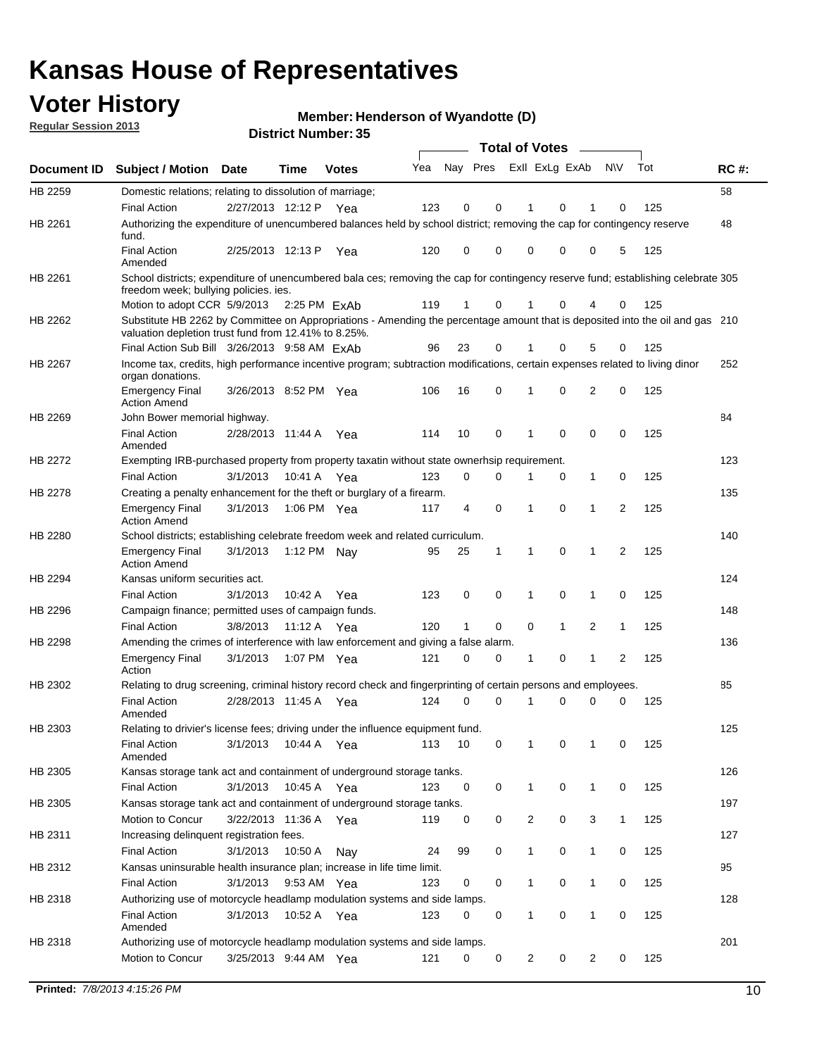## **Voter History**

**Member: Henderson of Wyandotte (D)** 

**Regular Session 2013**

|             |                                                                                                                                                                                       |                       |             |              |     |          |              | <b>Total of Votes</b> |             |                |              |     |             |
|-------------|---------------------------------------------------------------------------------------------------------------------------------------------------------------------------------------|-----------------------|-------------|--------------|-----|----------|--------------|-----------------------|-------------|----------------|--------------|-----|-------------|
| Document ID | <b>Subject / Motion</b>                                                                                                                                                               | Date                  | Time        | Votes        | Yea | Nay Pres |              | Exll ExLg ExAb        |             |                | <b>NV</b>    | Tot | <b>RC#:</b> |
| HB 2259     | Domestic relations; relating to dissolution of marriage;                                                                                                                              |                       |             |              |     |          |              |                       |             |                |              |     | 58          |
|             | <b>Final Action</b>                                                                                                                                                                   | 2/27/2013 12:12 P     |             | Yea          | 123 | 0        | 0            | 1                     | 0           |                | 0            | 125 |             |
| HB 2261     | Authorizing the expenditure of unencumbered balances held by school district; removing the cap for contingency reserve<br>fund.                                                       |                       |             |              |     |          |              |                       |             |                |              |     | 48          |
|             | <b>Final Action</b><br>Amended                                                                                                                                                        | 2/25/2013 12:13 P     |             | Yea          | 120 | 0        | 0            | 0                     | 0           | 0              | 5            | 125 |             |
| HB 2261     | School districts; expenditure of unencumbered bala ces; removing the cap for contingency reserve fund; establishing celebrate 305<br>freedom week; bullying policies. ies.            |                       |             |              |     |          |              |                       |             |                |              |     |             |
|             | Motion to adopt CCR 5/9/2013                                                                                                                                                          |                       |             | 2:25 PM ExAb | 119 | 1        | $\mathbf 0$  |                       |             |                | 0            | 125 |             |
| HB 2262     | Substitute HB 2262 by Committee on Appropriations - Amending the percentage amount that is deposited into the oil and gas 210<br>valuation depletion trust fund from 12.41% to 8.25%. |                       |             |              |     |          |              |                       |             |                |              |     |             |
|             | Final Action Sub Bill 3/26/2013 9:58 AM ExAb                                                                                                                                          |                       |             |              | 96  | 23       | 0            |                       | 0           |                | 0            | 125 |             |
| HB 2267     | Income tax, credits, high performance incentive program; subtraction modifications, certain expenses related to living dinor<br>organ donations.                                      |                       |             |              |     |          |              |                       |             |                |              |     | 252         |
|             | <b>Emergency Final</b><br><b>Action Amend</b>                                                                                                                                         | 3/26/2013 8:52 PM Yea |             |              | 106 | 16       | 0            | 1                     | 0           | 2              | 0            | 125 |             |
| HB 2269     | John Bower memorial highway.                                                                                                                                                          |                       |             |              |     |          |              |                       |             |                |              |     | 84          |
|             | <b>Final Action</b><br>Amended                                                                                                                                                        | 2/28/2013 11:44 A     |             | Yea          | 114 | 10       | 0            | 1                     | $\mathbf 0$ | 0              | 0            | 125 |             |
| HB 2272     | Exempting IRB-purchased property from property taxatin without state ownerhsip requirement.                                                                                           |                       |             |              |     |          |              |                       |             |                |              |     | 123         |
|             | <b>Final Action</b>                                                                                                                                                                   | 3/1/2013              |             | 10:41 A Yea  | 123 | 0        | 0            | 1                     | 0           | 1              | 0            | 125 |             |
| HB 2278     | Creating a penalty enhancement for the theft or burglary of a firearm.                                                                                                                |                       |             |              |     |          |              |                       |             |                |              |     | 135         |
|             | <b>Emergency Final</b><br><b>Action Amend</b>                                                                                                                                         | 3/1/2013              |             | 1:06 PM Yea  | 117 | 4        | 0            | 1                     | 0           | 1              | 2            | 125 |             |
| HB 2280     | School districts; establishing celebrate freedom week and related curriculum.                                                                                                         |                       |             |              |     |          |              |                       |             |                |              |     | 140         |
|             | <b>Emergency Final</b><br><b>Action Amend</b>                                                                                                                                         | 3/1/2013              |             | 1:12 PM Nay  | 95  | 25       | $\mathbf{1}$ | 1                     | $\Omega$    | 1              | 2            | 125 |             |
| HB 2294     | Kansas uniform securities act.                                                                                                                                                        |                       |             |              |     |          |              |                       |             |                |              |     | 124         |
|             | <b>Final Action</b>                                                                                                                                                                   | 3/1/2013              | 10:42 A     | Yea          | 123 | 0        | 0            | 1                     | 0           | 1              | 0            | 125 |             |
| HB 2296     | Campaign finance; permitted uses of campaign funds.                                                                                                                                   |                       |             |              |     |          |              |                       |             |                |              |     | 148         |
|             | <b>Final Action</b>                                                                                                                                                                   | 3/8/2013              | 11:12 A     | Yea          | 120 | 1        | $\mathbf 0$  | $\mathbf 0$           | 1           | 2              | 1            | 125 |             |
| HB 2298     | Amending the crimes of interference with law enforcement and giving a false alarm.                                                                                                    |                       |             |              |     |          |              |                       |             |                |              |     | 136         |
|             | <b>Emergency Final</b><br>Action                                                                                                                                                      | 3/1/2013              |             | 1:07 PM Yea  | 121 | 0        | 0            | $\mathbf 1$           | 0           | 1              | 2            | 125 |             |
| HB 2302     | Relating to drug screening, criminal history record check and fingerprinting of certain persons and employees.                                                                        |                       |             |              |     |          |              |                       |             |                |              |     | 85          |
|             | <b>Final Action</b><br>Amended                                                                                                                                                        | 2/28/2013 11:45 A     |             | Yea          | 124 | 0        | $\mathbf 0$  | 1                     | 0           | 0              | 0            | 125 |             |
| HB 2303     | Relating to drivier's license fees; driving under the influence equipment fund.                                                                                                       |                       |             |              |     |          |              |                       |             |                |              |     | 125         |
|             | <b>Final Action</b><br>Amended                                                                                                                                                        | 3/1/2013 10:44 A Yea  |             |              | 113 | - 10     | 0            | $\mathbf{1}$          | 0           |                | 0            | 125 |             |
| HB 2305     | Kansas storage tank act and containment of underground storage tanks.                                                                                                                 |                       |             |              |     |          |              |                       |             |                |              |     | 126         |
|             | <b>Final Action</b>                                                                                                                                                                   | 3/1/2013              | 10:45 A Yea |              | 123 | 0        | 0            | 1                     | 0           | 1              | 0            | 125 |             |
| HB 2305     | Kansas storage tank act and containment of underground storage tanks.                                                                                                                 |                       |             |              |     |          |              |                       |             |                |              |     | 197         |
|             | Motion to Concur                                                                                                                                                                      | 3/22/2013 11:36 A Yea |             |              | 119 | 0        | 0            | $\overline{c}$        | 0           | 3              | $\mathbf{1}$ | 125 |             |
| HB 2311     | Increasing delinquent registration fees.                                                                                                                                              |                       |             |              |     |          |              |                       |             |                |              |     | 127         |
|             | <b>Final Action</b>                                                                                                                                                                   | 3/1/2013              | 10:50 A     | Nav          | 24  | 99       | 0            | $\mathbf{1}$          | 0           | 1              | 0            | 125 |             |
| HB 2312     | Kansas uninsurable health insurance plan; increase in life time limit.                                                                                                                |                       |             |              |     |          |              |                       |             |                |              |     | 95          |
|             | <b>Final Action</b>                                                                                                                                                                   | 3/1/2013              | 9:53 AM Yea |              | 123 | 0        | 0            | $\mathbf{1}$          | 0           | 1              | 0            | 125 |             |
| HB 2318     | Authorizing use of motorcycle headlamp modulation systems and side lamps.                                                                                                             |                       |             |              |     |          |              |                       |             |                |              |     | 128         |
|             | <b>Final Action</b><br>Amended                                                                                                                                                        | 3/1/2013              | 10:52 A Yea |              | 123 | 0        | 0            | $\mathbf{1}$          | 0           | 1              | 0            | 125 |             |
| HB 2318     | Authorizing use of motorcycle headlamp modulation systems and side lamps.                                                                                                             |                       |             |              |     |          |              |                       |             |                |              |     | 201         |
|             | Motion to Concur                                                                                                                                                                      | 3/25/2013 9:44 AM Yea |             |              | 121 | 0        | 0            | 2                     | 0           | $\overline{2}$ | 0            | 125 |             |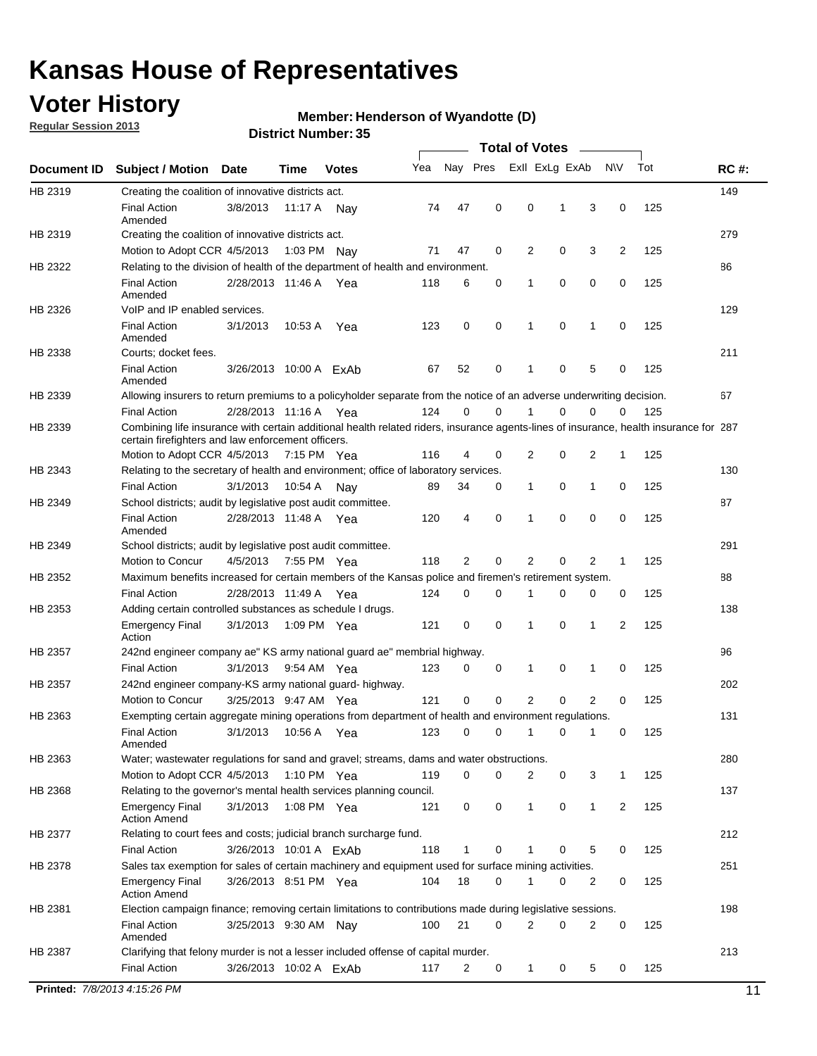## **Voter History**

**Regular Session 2013**

### **Member: Henderson of Wyandotte (D)**

| Nay Pres<br>Exll ExLg ExAb<br>Tot<br>Yea<br><b>NV</b><br><b>RC#:</b><br><b>Subject / Motion</b><br>Date<br>Time<br><b>Votes</b><br>149<br>HB 2319<br>Creating the coalition of innovative districts act.<br>47<br>0<br>0<br>125<br><b>Final Action</b><br>3/8/2013<br>3<br>0<br>11:17 A<br>74<br>1<br>Nav<br>Amended<br>279<br>Creating the coalition of innovative districts act.<br>47<br>0<br>2<br>0<br>3<br>2<br>125<br>Motion to Adopt CCR 4/5/2013<br>71<br>1:03 PM Nay<br>Relating to the division of health of the department of health and environment.<br>86<br>0<br>0<br>0<br>125<br><b>Final Action</b><br>2/28/2013 11:46 A Yea<br>118<br>6<br>0<br>1<br>Amended<br>VoIP and IP enabled services.<br>129<br>$\mathbf 0$<br>$\mathbf 0$<br><b>Final Action</b><br>3/1/2013<br>123<br>0<br>1<br>$\mathbf 0$<br>125<br>10:53 A<br>1<br>Yea<br>Amended<br>211<br>Courts; docket fees.<br><b>Final Action</b><br>0<br>125<br>52<br>$\mathbf 1$<br>0<br>5<br>0<br>3/26/2013 10:00 A ExAb<br>67<br>Amended<br>67<br>Allowing insurers to return premiums to a policyholder separate from the notice of an adverse underwriting decision.<br>0<br>2/28/2013 11:16 A Yea<br>124<br>0<br>1<br>0<br>0<br>125<br><b>Final Action</b><br>0<br>Combining life insurance with certain additional health related riders, insurance agents-lines of insurance, health insurance for 287<br>certain firefighters and law enforcement officers.<br>2<br>0<br>125<br>Motion to Adopt CCR 4/5/2013 7:15 PM Yea<br>116<br>4<br>0<br>2<br>1<br>Relating to the secretary of health and environment; office of laboratory services.<br>130<br><b>Final Action</b><br>0<br>125<br>3/1/2013<br>89<br>34<br>0<br>$\mathbf{1}$<br>1<br>0<br>10:54 A Nay<br>87<br>HB 2349<br>School districts; audit by legislative post audit committee.<br>$\Omega$<br>4<br>0<br>$\Omega$<br>0<br>125<br><b>Final Action</b><br>2/28/2013 11:48 A Yea<br>120<br>1<br>Amended<br>291<br>School districts; audit by legislative post audit committee.<br>Motion to Concur<br>4/5/2013<br>7:55 PM Yea<br>118<br>2<br>0<br>2<br>0<br>$\overline{2}$<br>125<br>1<br>Maximum benefits increased for certain members of the Kansas police and firemen's retirement system.<br>88<br><b>Final Action</b><br>0<br>125<br>2/28/2013 11:49 A<br>124<br>0<br>1<br>0<br>0<br>0<br>Yea<br>138<br>Adding certain controlled substances as schedule I drugs.<br>0<br>0<br>0<br>2<br>125<br><b>Emergency Final</b><br>3/1/2013<br>1:09 PM Yea<br>121<br>1<br>1<br>Action<br>96<br>242nd engineer company ae" KS army national guard ae" membrial highway.<br>3/1/2013<br>0<br>125<br><b>Final Action</b><br>9:54 AM Yea<br>123<br>0<br>0<br>1<br>0<br>1<br>202<br>242nd engineer company-KS army national guard- highway.<br>$\mathbf 0$<br>$\mathbf 0$<br>$\overline{2}$<br>$\mathbf 0$<br>$\overline{2}$<br>3/25/2013 9:47 AM Yea<br>121<br>0<br>125<br>Motion to Concur<br>131<br>HB 2363<br>Exempting certain aggregate mining operations from department of health and environment regulations.<br>3/1/2013<br>10:56 A<br>123<br>0<br>125<br><b>Final Action</b><br>0<br>1<br>0<br>1<br>0<br>Yea<br>Amended<br>Water; wastewater regulations for sand and gravel; streams, dams and water obstructions.<br>280<br>Motion to Adopt CCR 4/5/2013<br>119<br>0<br>0<br>2<br>3<br>125<br>1:10 PM $Yea$<br>0<br>1<br>Relating to the governor's mental health services planning council.<br>137<br>0<br>0<br><b>Emergency Final</b><br>3/1/2013<br>1:08 PM Yea<br>121<br>0<br>$\mathbf{1}$<br>1<br>2<br>125<br><b>Action Amend</b><br>HB 2377<br>Relating to court fees and costs; judicial branch surcharge fund.<br>212<br>3/26/2013 10:01 A ExAb<br>118<br>0<br>125<br><b>Final Action</b><br>1<br>0<br>5<br>0<br>Sales tax exemption for sales of certain machinery and equipment used for surface mining activities.<br>251<br>HB 2378<br>104<br>18<br>0<br>0<br>125<br><b>Emergency Final</b><br>3/26/2013 8:51 PM Yea<br>1<br>0<br>2<br><b>Action Amend</b><br>198<br>Election campaign finance; removing certain limitations to contributions made during legislative sessions.<br><b>Final Action</b><br>21<br>$\overline{2}$<br>0<br>2<br>0<br>100<br>0<br>125<br>3/25/2013 9:30 AM Nay<br>Amended<br>213<br>HB 2387<br>Clarifying that felony murder is not a lesser included offense of capital murder.<br><b>Final Action</b><br>125<br>3/26/2013 10:02 A ExAb<br>117<br>2<br>0<br>$\mathbf{1}$<br>0<br>5<br>0<br>Printed: 7/8/2013 4:15:26 PM<br>11 |             |  |  |  | <b>Total of Votes</b> |  |  |  |
|-------------------------------------------------------------------------------------------------------------------------------------------------------------------------------------------------------------------------------------------------------------------------------------------------------------------------------------------------------------------------------------------------------------------------------------------------------------------------------------------------------------------------------------------------------------------------------------------------------------------------------------------------------------------------------------------------------------------------------------------------------------------------------------------------------------------------------------------------------------------------------------------------------------------------------------------------------------------------------------------------------------------------------------------------------------------------------------------------------------------------------------------------------------------------------------------------------------------------------------------------------------------------------------------------------------------------------------------------------------------------------------------------------------------------------------------------------------------------------------------------------------------------------------------------------------------------------------------------------------------------------------------------------------------------------------------------------------------------------------------------------------------------------------------------------------------------------------------------------------------------------------------------------------------------------------------------------------------------------------------------------------------------------------------------------------------------------------------------------------------------------------------------------------------------------------------------------------------------------------------------------------------------------------------------------------------------------------------------------------------------------------------------------------------------------------------------------------------------------------------------------------------------------------------------------------------------------------------------------------------------------------------------------------------------------------------------------------------------------------------------------------------------------------------------------------------------------------------------------------------------------------------------------------------------------------------------------------------------------------------------------------------------------------------------------------------------------------------------------------------------------------------------------------------------------------------------------------------------------------------------------------------------------------------------------------------------------------------------------------------------------------------------------------------------------------------------------------------------------------------------------------------------------------------------------------------------------------------------------------------------------------------------------------------------------------------------------------------------------------------------------------------------------------------------------------------------------------------------------------------------------------------------------------------------------------------------------------------------------------------------------------------------------------------------------------------------------------------------------------------------------------------------------------------------------------------------------------------------------------------------------------------------------------------------------------------------------------------------------------------------------------------------------------------------------------------------------------------------------------------------------------------|-------------|--|--|--|-----------------------|--|--|--|
|                                                                                                                                                                                                                                                                                                                                                                                                                                                                                                                                                                                                                                                                                                                                                                                                                                                                                                                                                                                                                                                                                                                                                                                                                                                                                                                                                                                                                                                                                                                                                                                                                                                                                                                                                                                                                                                                                                                                                                                                                                                                                                                                                                                                                                                                                                                                                                                                                                                                                                                                                                                                                                                                                                                                                                                                                                                                                                                                                                                                                                                                                                                                                                                                                                                                                                                                                                                                                                                                                                                                                                                                                                                                                                                                                                                                                                                                                                                                                                                                                                                                                                                                                                                                                                                                                                                                                                                                                                                                                                                   | Document ID |  |  |  |                       |  |  |  |
|                                                                                                                                                                                                                                                                                                                                                                                                                                                                                                                                                                                                                                                                                                                                                                                                                                                                                                                                                                                                                                                                                                                                                                                                                                                                                                                                                                                                                                                                                                                                                                                                                                                                                                                                                                                                                                                                                                                                                                                                                                                                                                                                                                                                                                                                                                                                                                                                                                                                                                                                                                                                                                                                                                                                                                                                                                                                                                                                                                                                                                                                                                                                                                                                                                                                                                                                                                                                                                                                                                                                                                                                                                                                                                                                                                                                                                                                                                                                                                                                                                                                                                                                                                                                                                                                                                                                                                                                                                                                                                                   |             |  |  |  |                       |  |  |  |
|                                                                                                                                                                                                                                                                                                                                                                                                                                                                                                                                                                                                                                                                                                                                                                                                                                                                                                                                                                                                                                                                                                                                                                                                                                                                                                                                                                                                                                                                                                                                                                                                                                                                                                                                                                                                                                                                                                                                                                                                                                                                                                                                                                                                                                                                                                                                                                                                                                                                                                                                                                                                                                                                                                                                                                                                                                                                                                                                                                                                                                                                                                                                                                                                                                                                                                                                                                                                                                                                                                                                                                                                                                                                                                                                                                                                                                                                                                                                                                                                                                                                                                                                                                                                                                                                                                                                                                                                                                                                                                                   |             |  |  |  |                       |  |  |  |
|                                                                                                                                                                                                                                                                                                                                                                                                                                                                                                                                                                                                                                                                                                                                                                                                                                                                                                                                                                                                                                                                                                                                                                                                                                                                                                                                                                                                                                                                                                                                                                                                                                                                                                                                                                                                                                                                                                                                                                                                                                                                                                                                                                                                                                                                                                                                                                                                                                                                                                                                                                                                                                                                                                                                                                                                                                                                                                                                                                                                                                                                                                                                                                                                                                                                                                                                                                                                                                                                                                                                                                                                                                                                                                                                                                                                                                                                                                                                                                                                                                                                                                                                                                                                                                                                                                                                                                                                                                                                                                                   | HB 2319     |  |  |  |                       |  |  |  |
|                                                                                                                                                                                                                                                                                                                                                                                                                                                                                                                                                                                                                                                                                                                                                                                                                                                                                                                                                                                                                                                                                                                                                                                                                                                                                                                                                                                                                                                                                                                                                                                                                                                                                                                                                                                                                                                                                                                                                                                                                                                                                                                                                                                                                                                                                                                                                                                                                                                                                                                                                                                                                                                                                                                                                                                                                                                                                                                                                                                                                                                                                                                                                                                                                                                                                                                                                                                                                                                                                                                                                                                                                                                                                                                                                                                                                                                                                                                                                                                                                                                                                                                                                                                                                                                                                                                                                                                                                                                                                                                   | HB 2322     |  |  |  |                       |  |  |  |
|                                                                                                                                                                                                                                                                                                                                                                                                                                                                                                                                                                                                                                                                                                                                                                                                                                                                                                                                                                                                                                                                                                                                                                                                                                                                                                                                                                                                                                                                                                                                                                                                                                                                                                                                                                                                                                                                                                                                                                                                                                                                                                                                                                                                                                                                                                                                                                                                                                                                                                                                                                                                                                                                                                                                                                                                                                                                                                                                                                                                                                                                                                                                                                                                                                                                                                                                                                                                                                                                                                                                                                                                                                                                                                                                                                                                                                                                                                                                                                                                                                                                                                                                                                                                                                                                                                                                                                                                                                                                                                                   |             |  |  |  |                       |  |  |  |
|                                                                                                                                                                                                                                                                                                                                                                                                                                                                                                                                                                                                                                                                                                                                                                                                                                                                                                                                                                                                                                                                                                                                                                                                                                                                                                                                                                                                                                                                                                                                                                                                                                                                                                                                                                                                                                                                                                                                                                                                                                                                                                                                                                                                                                                                                                                                                                                                                                                                                                                                                                                                                                                                                                                                                                                                                                                                                                                                                                                                                                                                                                                                                                                                                                                                                                                                                                                                                                                                                                                                                                                                                                                                                                                                                                                                                                                                                                                                                                                                                                                                                                                                                                                                                                                                                                                                                                                                                                                                                                                   | HB 2326     |  |  |  |                       |  |  |  |
|                                                                                                                                                                                                                                                                                                                                                                                                                                                                                                                                                                                                                                                                                                                                                                                                                                                                                                                                                                                                                                                                                                                                                                                                                                                                                                                                                                                                                                                                                                                                                                                                                                                                                                                                                                                                                                                                                                                                                                                                                                                                                                                                                                                                                                                                                                                                                                                                                                                                                                                                                                                                                                                                                                                                                                                                                                                                                                                                                                                                                                                                                                                                                                                                                                                                                                                                                                                                                                                                                                                                                                                                                                                                                                                                                                                                                                                                                                                                                                                                                                                                                                                                                                                                                                                                                                                                                                                                                                                                                                                   |             |  |  |  |                       |  |  |  |
|                                                                                                                                                                                                                                                                                                                                                                                                                                                                                                                                                                                                                                                                                                                                                                                                                                                                                                                                                                                                                                                                                                                                                                                                                                                                                                                                                                                                                                                                                                                                                                                                                                                                                                                                                                                                                                                                                                                                                                                                                                                                                                                                                                                                                                                                                                                                                                                                                                                                                                                                                                                                                                                                                                                                                                                                                                                                                                                                                                                                                                                                                                                                                                                                                                                                                                                                                                                                                                                                                                                                                                                                                                                                                                                                                                                                                                                                                                                                                                                                                                                                                                                                                                                                                                                                                                                                                                                                                                                                                                                   | HB 2338     |  |  |  |                       |  |  |  |
|                                                                                                                                                                                                                                                                                                                                                                                                                                                                                                                                                                                                                                                                                                                                                                                                                                                                                                                                                                                                                                                                                                                                                                                                                                                                                                                                                                                                                                                                                                                                                                                                                                                                                                                                                                                                                                                                                                                                                                                                                                                                                                                                                                                                                                                                                                                                                                                                                                                                                                                                                                                                                                                                                                                                                                                                                                                                                                                                                                                                                                                                                                                                                                                                                                                                                                                                                                                                                                                                                                                                                                                                                                                                                                                                                                                                                                                                                                                                                                                                                                                                                                                                                                                                                                                                                                                                                                                                                                                                                                                   |             |  |  |  |                       |  |  |  |
|                                                                                                                                                                                                                                                                                                                                                                                                                                                                                                                                                                                                                                                                                                                                                                                                                                                                                                                                                                                                                                                                                                                                                                                                                                                                                                                                                                                                                                                                                                                                                                                                                                                                                                                                                                                                                                                                                                                                                                                                                                                                                                                                                                                                                                                                                                                                                                                                                                                                                                                                                                                                                                                                                                                                                                                                                                                                                                                                                                                                                                                                                                                                                                                                                                                                                                                                                                                                                                                                                                                                                                                                                                                                                                                                                                                                                                                                                                                                                                                                                                                                                                                                                                                                                                                                                                                                                                                                                                                                                                                   | HB 2339     |  |  |  |                       |  |  |  |
|                                                                                                                                                                                                                                                                                                                                                                                                                                                                                                                                                                                                                                                                                                                                                                                                                                                                                                                                                                                                                                                                                                                                                                                                                                                                                                                                                                                                                                                                                                                                                                                                                                                                                                                                                                                                                                                                                                                                                                                                                                                                                                                                                                                                                                                                                                                                                                                                                                                                                                                                                                                                                                                                                                                                                                                                                                                                                                                                                                                                                                                                                                                                                                                                                                                                                                                                                                                                                                                                                                                                                                                                                                                                                                                                                                                                                                                                                                                                                                                                                                                                                                                                                                                                                                                                                                                                                                                                                                                                                                                   |             |  |  |  |                       |  |  |  |
|                                                                                                                                                                                                                                                                                                                                                                                                                                                                                                                                                                                                                                                                                                                                                                                                                                                                                                                                                                                                                                                                                                                                                                                                                                                                                                                                                                                                                                                                                                                                                                                                                                                                                                                                                                                                                                                                                                                                                                                                                                                                                                                                                                                                                                                                                                                                                                                                                                                                                                                                                                                                                                                                                                                                                                                                                                                                                                                                                                                                                                                                                                                                                                                                                                                                                                                                                                                                                                                                                                                                                                                                                                                                                                                                                                                                                                                                                                                                                                                                                                                                                                                                                                                                                                                                                                                                                                                                                                                                                                                   | HB 2339     |  |  |  |                       |  |  |  |
|                                                                                                                                                                                                                                                                                                                                                                                                                                                                                                                                                                                                                                                                                                                                                                                                                                                                                                                                                                                                                                                                                                                                                                                                                                                                                                                                                                                                                                                                                                                                                                                                                                                                                                                                                                                                                                                                                                                                                                                                                                                                                                                                                                                                                                                                                                                                                                                                                                                                                                                                                                                                                                                                                                                                                                                                                                                                                                                                                                                                                                                                                                                                                                                                                                                                                                                                                                                                                                                                                                                                                                                                                                                                                                                                                                                                                                                                                                                                                                                                                                                                                                                                                                                                                                                                                                                                                                                                                                                                                                                   |             |  |  |  |                       |  |  |  |
|                                                                                                                                                                                                                                                                                                                                                                                                                                                                                                                                                                                                                                                                                                                                                                                                                                                                                                                                                                                                                                                                                                                                                                                                                                                                                                                                                                                                                                                                                                                                                                                                                                                                                                                                                                                                                                                                                                                                                                                                                                                                                                                                                                                                                                                                                                                                                                                                                                                                                                                                                                                                                                                                                                                                                                                                                                                                                                                                                                                                                                                                                                                                                                                                                                                                                                                                                                                                                                                                                                                                                                                                                                                                                                                                                                                                                                                                                                                                                                                                                                                                                                                                                                                                                                                                                                                                                                                                                                                                                                                   | HB 2343     |  |  |  |                       |  |  |  |
|                                                                                                                                                                                                                                                                                                                                                                                                                                                                                                                                                                                                                                                                                                                                                                                                                                                                                                                                                                                                                                                                                                                                                                                                                                                                                                                                                                                                                                                                                                                                                                                                                                                                                                                                                                                                                                                                                                                                                                                                                                                                                                                                                                                                                                                                                                                                                                                                                                                                                                                                                                                                                                                                                                                                                                                                                                                                                                                                                                                                                                                                                                                                                                                                                                                                                                                                                                                                                                                                                                                                                                                                                                                                                                                                                                                                                                                                                                                                                                                                                                                                                                                                                                                                                                                                                                                                                                                                                                                                                                                   |             |  |  |  |                       |  |  |  |
|                                                                                                                                                                                                                                                                                                                                                                                                                                                                                                                                                                                                                                                                                                                                                                                                                                                                                                                                                                                                                                                                                                                                                                                                                                                                                                                                                                                                                                                                                                                                                                                                                                                                                                                                                                                                                                                                                                                                                                                                                                                                                                                                                                                                                                                                                                                                                                                                                                                                                                                                                                                                                                                                                                                                                                                                                                                                                                                                                                                                                                                                                                                                                                                                                                                                                                                                                                                                                                                                                                                                                                                                                                                                                                                                                                                                                                                                                                                                                                                                                                                                                                                                                                                                                                                                                                                                                                                                                                                                                                                   |             |  |  |  |                       |  |  |  |
|                                                                                                                                                                                                                                                                                                                                                                                                                                                                                                                                                                                                                                                                                                                                                                                                                                                                                                                                                                                                                                                                                                                                                                                                                                                                                                                                                                                                                                                                                                                                                                                                                                                                                                                                                                                                                                                                                                                                                                                                                                                                                                                                                                                                                                                                                                                                                                                                                                                                                                                                                                                                                                                                                                                                                                                                                                                                                                                                                                                                                                                                                                                                                                                                                                                                                                                                                                                                                                                                                                                                                                                                                                                                                                                                                                                                                                                                                                                                                                                                                                                                                                                                                                                                                                                                                                                                                                                                                                                                                                                   |             |  |  |  |                       |  |  |  |
|                                                                                                                                                                                                                                                                                                                                                                                                                                                                                                                                                                                                                                                                                                                                                                                                                                                                                                                                                                                                                                                                                                                                                                                                                                                                                                                                                                                                                                                                                                                                                                                                                                                                                                                                                                                                                                                                                                                                                                                                                                                                                                                                                                                                                                                                                                                                                                                                                                                                                                                                                                                                                                                                                                                                                                                                                                                                                                                                                                                                                                                                                                                                                                                                                                                                                                                                                                                                                                                                                                                                                                                                                                                                                                                                                                                                                                                                                                                                                                                                                                                                                                                                                                                                                                                                                                                                                                                                                                                                                                                   | HB 2349     |  |  |  |                       |  |  |  |
|                                                                                                                                                                                                                                                                                                                                                                                                                                                                                                                                                                                                                                                                                                                                                                                                                                                                                                                                                                                                                                                                                                                                                                                                                                                                                                                                                                                                                                                                                                                                                                                                                                                                                                                                                                                                                                                                                                                                                                                                                                                                                                                                                                                                                                                                                                                                                                                                                                                                                                                                                                                                                                                                                                                                                                                                                                                                                                                                                                                                                                                                                                                                                                                                                                                                                                                                                                                                                                                                                                                                                                                                                                                                                                                                                                                                                                                                                                                                                                                                                                                                                                                                                                                                                                                                                                                                                                                                                                                                                                                   |             |  |  |  |                       |  |  |  |
|                                                                                                                                                                                                                                                                                                                                                                                                                                                                                                                                                                                                                                                                                                                                                                                                                                                                                                                                                                                                                                                                                                                                                                                                                                                                                                                                                                                                                                                                                                                                                                                                                                                                                                                                                                                                                                                                                                                                                                                                                                                                                                                                                                                                                                                                                                                                                                                                                                                                                                                                                                                                                                                                                                                                                                                                                                                                                                                                                                                                                                                                                                                                                                                                                                                                                                                                                                                                                                                                                                                                                                                                                                                                                                                                                                                                                                                                                                                                                                                                                                                                                                                                                                                                                                                                                                                                                                                                                                                                                                                   | HB 2352     |  |  |  |                       |  |  |  |
|                                                                                                                                                                                                                                                                                                                                                                                                                                                                                                                                                                                                                                                                                                                                                                                                                                                                                                                                                                                                                                                                                                                                                                                                                                                                                                                                                                                                                                                                                                                                                                                                                                                                                                                                                                                                                                                                                                                                                                                                                                                                                                                                                                                                                                                                                                                                                                                                                                                                                                                                                                                                                                                                                                                                                                                                                                                                                                                                                                                                                                                                                                                                                                                                                                                                                                                                                                                                                                                                                                                                                                                                                                                                                                                                                                                                                                                                                                                                                                                                                                                                                                                                                                                                                                                                                                                                                                                                                                                                                                                   |             |  |  |  |                       |  |  |  |
|                                                                                                                                                                                                                                                                                                                                                                                                                                                                                                                                                                                                                                                                                                                                                                                                                                                                                                                                                                                                                                                                                                                                                                                                                                                                                                                                                                                                                                                                                                                                                                                                                                                                                                                                                                                                                                                                                                                                                                                                                                                                                                                                                                                                                                                                                                                                                                                                                                                                                                                                                                                                                                                                                                                                                                                                                                                                                                                                                                                                                                                                                                                                                                                                                                                                                                                                                                                                                                                                                                                                                                                                                                                                                                                                                                                                                                                                                                                                                                                                                                                                                                                                                                                                                                                                                                                                                                                                                                                                                                                   | HB 2353     |  |  |  |                       |  |  |  |
|                                                                                                                                                                                                                                                                                                                                                                                                                                                                                                                                                                                                                                                                                                                                                                                                                                                                                                                                                                                                                                                                                                                                                                                                                                                                                                                                                                                                                                                                                                                                                                                                                                                                                                                                                                                                                                                                                                                                                                                                                                                                                                                                                                                                                                                                                                                                                                                                                                                                                                                                                                                                                                                                                                                                                                                                                                                                                                                                                                                                                                                                                                                                                                                                                                                                                                                                                                                                                                                                                                                                                                                                                                                                                                                                                                                                                                                                                                                                                                                                                                                                                                                                                                                                                                                                                                                                                                                                                                                                                                                   |             |  |  |  |                       |  |  |  |
|                                                                                                                                                                                                                                                                                                                                                                                                                                                                                                                                                                                                                                                                                                                                                                                                                                                                                                                                                                                                                                                                                                                                                                                                                                                                                                                                                                                                                                                                                                                                                                                                                                                                                                                                                                                                                                                                                                                                                                                                                                                                                                                                                                                                                                                                                                                                                                                                                                                                                                                                                                                                                                                                                                                                                                                                                                                                                                                                                                                                                                                                                                                                                                                                                                                                                                                                                                                                                                                                                                                                                                                                                                                                                                                                                                                                                                                                                                                                                                                                                                                                                                                                                                                                                                                                                                                                                                                                                                                                                                                   | HB 2357     |  |  |  |                       |  |  |  |
|                                                                                                                                                                                                                                                                                                                                                                                                                                                                                                                                                                                                                                                                                                                                                                                                                                                                                                                                                                                                                                                                                                                                                                                                                                                                                                                                                                                                                                                                                                                                                                                                                                                                                                                                                                                                                                                                                                                                                                                                                                                                                                                                                                                                                                                                                                                                                                                                                                                                                                                                                                                                                                                                                                                                                                                                                                                                                                                                                                                                                                                                                                                                                                                                                                                                                                                                                                                                                                                                                                                                                                                                                                                                                                                                                                                                                                                                                                                                                                                                                                                                                                                                                                                                                                                                                                                                                                                                                                                                                                                   |             |  |  |  |                       |  |  |  |
|                                                                                                                                                                                                                                                                                                                                                                                                                                                                                                                                                                                                                                                                                                                                                                                                                                                                                                                                                                                                                                                                                                                                                                                                                                                                                                                                                                                                                                                                                                                                                                                                                                                                                                                                                                                                                                                                                                                                                                                                                                                                                                                                                                                                                                                                                                                                                                                                                                                                                                                                                                                                                                                                                                                                                                                                                                                                                                                                                                                                                                                                                                                                                                                                                                                                                                                                                                                                                                                                                                                                                                                                                                                                                                                                                                                                                                                                                                                                                                                                                                                                                                                                                                                                                                                                                                                                                                                                                                                                                                                   | HB 2357     |  |  |  |                       |  |  |  |
|                                                                                                                                                                                                                                                                                                                                                                                                                                                                                                                                                                                                                                                                                                                                                                                                                                                                                                                                                                                                                                                                                                                                                                                                                                                                                                                                                                                                                                                                                                                                                                                                                                                                                                                                                                                                                                                                                                                                                                                                                                                                                                                                                                                                                                                                                                                                                                                                                                                                                                                                                                                                                                                                                                                                                                                                                                                                                                                                                                                                                                                                                                                                                                                                                                                                                                                                                                                                                                                                                                                                                                                                                                                                                                                                                                                                                                                                                                                                                                                                                                                                                                                                                                                                                                                                                                                                                                                                                                                                                                                   |             |  |  |  |                       |  |  |  |
|                                                                                                                                                                                                                                                                                                                                                                                                                                                                                                                                                                                                                                                                                                                                                                                                                                                                                                                                                                                                                                                                                                                                                                                                                                                                                                                                                                                                                                                                                                                                                                                                                                                                                                                                                                                                                                                                                                                                                                                                                                                                                                                                                                                                                                                                                                                                                                                                                                                                                                                                                                                                                                                                                                                                                                                                                                                                                                                                                                                                                                                                                                                                                                                                                                                                                                                                                                                                                                                                                                                                                                                                                                                                                                                                                                                                                                                                                                                                                                                                                                                                                                                                                                                                                                                                                                                                                                                                                                                                                                                   |             |  |  |  |                       |  |  |  |
|                                                                                                                                                                                                                                                                                                                                                                                                                                                                                                                                                                                                                                                                                                                                                                                                                                                                                                                                                                                                                                                                                                                                                                                                                                                                                                                                                                                                                                                                                                                                                                                                                                                                                                                                                                                                                                                                                                                                                                                                                                                                                                                                                                                                                                                                                                                                                                                                                                                                                                                                                                                                                                                                                                                                                                                                                                                                                                                                                                                                                                                                                                                                                                                                                                                                                                                                                                                                                                                                                                                                                                                                                                                                                                                                                                                                                                                                                                                                                                                                                                                                                                                                                                                                                                                                                                                                                                                                                                                                                                                   |             |  |  |  |                       |  |  |  |
|                                                                                                                                                                                                                                                                                                                                                                                                                                                                                                                                                                                                                                                                                                                                                                                                                                                                                                                                                                                                                                                                                                                                                                                                                                                                                                                                                                                                                                                                                                                                                                                                                                                                                                                                                                                                                                                                                                                                                                                                                                                                                                                                                                                                                                                                                                                                                                                                                                                                                                                                                                                                                                                                                                                                                                                                                                                                                                                                                                                                                                                                                                                                                                                                                                                                                                                                                                                                                                                                                                                                                                                                                                                                                                                                                                                                                                                                                                                                                                                                                                                                                                                                                                                                                                                                                                                                                                                                                                                                                                                   | HB 2363     |  |  |  |                       |  |  |  |
|                                                                                                                                                                                                                                                                                                                                                                                                                                                                                                                                                                                                                                                                                                                                                                                                                                                                                                                                                                                                                                                                                                                                                                                                                                                                                                                                                                                                                                                                                                                                                                                                                                                                                                                                                                                                                                                                                                                                                                                                                                                                                                                                                                                                                                                                                                                                                                                                                                                                                                                                                                                                                                                                                                                                                                                                                                                                                                                                                                                                                                                                                                                                                                                                                                                                                                                                                                                                                                                                                                                                                                                                                                                                                                                                                                                                                                                                                                                                                                                                                                                                                                                                                                                                                                                                                                                                                                                                                                                                                                                   |             |  |  |  |                       |  |  |  |
|                                                                                                                                                                                                                                                                                                                                                                                                                                                                                                                                                                                                                                                                                                                                                                                                                                                                                                                                                                                                                                                                                                                                                                                                                                                                                                                                                                                                                                                                                                                                                                                                                                                                                                                                                                                                                                                                                                                                                                                                                                                                                                                                                                                                                                                                                                                                                                                                                                                                                                                                                                                                                                                                                                                                                                                                                                                                                                                                                                                                                                                                                                                                                                                                                                                                                                                                                                                                                                                                                                                                                                                                                                                                                                                                                                                                                                                                                                                                                                                                                                                                                                                                                                                                                                                                                                                                                                                                                                                                                                                   | HB 2368     |  |  |  |                       |  |  |  |
|                                                                                                                                                                                                                                                                                                                                                                                                                                                                                                                                                                                                                                                                                                                                                                                                                                                                                                                                                                                                                                                                                                                                                                                                                                                                                                                                                                                                                                                                                                                                                                                                                                                                                                                                                                                                                                                                                                                                                                                                                                                                                                                                                                                                                                                                                                                                                                                                                                                                                                                                                                                                                                                                                                                                                                                                                                                                                                                                                                                                                                                                                                                                                                                                                                                                                                                                                                                                                                                                                                                                                                                                                                                                                                                                                                                                                                                                                                                                                                                                                                                                                                                                                                                                                                                                                                                                                                                                                                                                                                                   |             |  |  |  |                       |  |  |  |
|                                                                                                                                                                                                                                                                                                                                                                                                                                                                                                                                                                                                                                                                                                                                                                                                                                                                                                                                                                                                                                                                                                                                                                                                                                                                                                                                                                                                                                                                                                                                                                                                                                                                                                                                                                                                                                                                                                                                                                                                                                                                                                                                                                                                                                                                                                                                                                                                                                                                                                                                                                                                                                                                                                                                                                                                                                                                                                                                                                                                                                                                                                                                                                                                                                                                                                                                                                                                                                                                                                                                                                                                                                                                                                                                                                                                                                                                                                                                                                                                                                                                                                                                                                                                                                                                                                                                                                                                                                                                                                                   |             |  |  |  |                       |  |  |  |
|                                                                                                                                                                                                                                                                                                                                                                                                                                                                                                                                                                                                                                                                                                                                                                                                                                                                                                                                                                                                                                                                                                                                                                                                                                                                                                                                                                                                                                                                                                                                                                                                                                                                                                                                                                                                                                                                                                                                                                                                                                                                                                                                                                                                                                                                                                                                                                                                                                                                                                                                                                                                                                                                                                                                                                                                                                                                                                                                                                                                                                                                                                                                                                                                                                                                                                                                                                                                                                                                                                                                                                                                                                                                                                                                                                                                                                                                                                                                                                                                                                                                                                                                                                                                                                                                                                                                                                                                                                                                                                                   |             |  |  |  |                       |  |  |  |
|                                                                                                                                                                                                                                                                                                                                                                                                                                                                                                                                                                                                                                                                                                                                                                                                                                                                                                                                                                                                                                                                                                                                                                                                                                                                                                                                                                                                                                                                                                                                                                                                                                                                                                                                                                                                                                                                                                                                                                                                                                                                                                                                                                                                                                                                                                                                                                                                                                                                                                                                                                                                                                                                                                                                                                                                                                                                                                                                                                                                                                                                                                                                                                                                                                                                                                                                                                                                                                                                                                                                                                                                                                                                                                                                                                                                                                                                                                                                                                                                                                                                                                                                                                                                                                                                                                                                                                                                                                                                                                                   |             |  |  |  |                       |  |  |  |
|                                                                                                                                                                                                                                                                                                                                                                                                                                                                                                                                                                                                                                                                                                                                                                                                                                                                                                                                                                                                                                                                                                                                                                                                                                                                                                                                                                                                                                                                                                                                                                                                                                                                                                                                                                                                                                                                                                                                                                                                                                                                                                                                                                                                                                                                                                                                                                                                                                                                                                                                                                                                                                                                                                                                                                                                                                                                                                                                                                                                                                                                                                                                                                                                                                                                                                                                                                                                                                                                                                                                                                                                                                                                                                                                                                                                                                                                                                                                                                                                                                                                                                                                                                                                                                                                                                                                                                                                                                                                                                                   |             |  |  |  |                       |  |  |  |
|                                                                                                                                                                                                                                                                                                                                                                                                                                                                                                                                                                                                                                                                                                                                                                                                                                                                                                                                                                                                                                                                                                                                                                                                                                                                                                                                                                                                                                                                                                                                                                                                                                                                                                                                                                                                                                                                                                                                                                                                                                                                                                                                                                                                                                                                                                                                                                                                                                                                                                                                                                                                                                                                                                                                                                                                                                                                                                                                                                                                                                                                                                                                                                                                                                                                                                                                                                                                                                                                                                                                                                                                                                                                                                                                                                                                                                                                                                                                                                                                                                                                                                                                                                                                                                                                                                                                                                                                                                                                                                                   | HB 2381     |  |  |  |                       |  |  |  |
|                                                                                                                                                                                                                                                                                                                                                                                                                                                                                                                                                                                                                                                                                                                                                                                                                                                                                                                                                                                                                                                                                                                                                                                                                                                                                                                                                                                                                                                                                                                                                                                                                                                                                                                                                                                                                                                                                                                                                                                                                                                                                                                                                                                                                                                                                                                                                                                                                                                                                                                                                                                                                                                                                                                                                                                                                                                                                                                                                                                                                                                                                                                                                                                                                                                                                                                                                                                                                                                                                                                                                                                                                                                                                                                                                                                                                                                                                                                                                                                                                                                                                                                                                                                                                                                                                                                                                                                                                                                                                                                   |             |  |  |  |                       |  |  |  |
|                                                                                                                                                                                                                                                                                                                                                                                                                                                                                                                                                                                                                                                                                                                                                                                                                                                                                                                                                                                                                                                                                                                                                                                                                                                                                                                                                                                                                                                                                                                                                                                                                                                                                                                                                                                                                                                                                                                                                                                                                                                                                                                                                                                                                                                                                                                                                                                                                                                                                                                                                                                                                                                                                                                                                                                                                                                                                                                                                                                                                                                                                                                                                                                                                                                                                                                                                                                                                                                                                                                                                                                                                                                                                                                                                                                                                                                                                                                                                                                                                                                                                                                                                                                                                                                                                                                                                                                                                                                                                                                   |             |  |  |  |                       |  |  |  |
|                                                                                                                                                                                                                                                                                                                                                                                                                                                                                                                                                                                                                                                                                                                                                                                                                                                                                                                                                                                                                                                                                                                                                                                                                                                                                                                                                                                                                                                                                                                                                                                                                                                                                                                                                                                                                                                                                                                                                                                                                                                                                                                                                                                                                                                                                                                                                                                                                                                                                                                                                                                                                                                                                                                                                                                                                                                                                                                                                                                                                                                                                                                                                                                                                                                                                                                                                                                                                                                                                                                                                                                                                                                                                                                                                                                                                                                                                                                                                                                                                                                                                                                                                                                                                                                                                                                                                                                                                                                                                                                   |             |  |  |  |                       |  |  |  |
|                                                                                                                                                                                                                                                                                                                                                                                                                                                                                                                                                                                                                                                                                                                                                                                                                                                                                                                                                                                                                                                                                                                                                                                                                                                                                                                                                                                                                                                                                                                                                                                                                                                                                                                                                                                                                                                                                                                                                                                                                                                                                                                                                                                                                                                                                                                                                                                                                                                                                                                                                                                                                                                                                                                                                                                                                                                                                                                                                                                                                                                                                                                                                                                                                                                                                                                                                                                                                                                                                                                                                                                                                                                                                                                                                                                                                                                                                                                                                                                                                                                                                                                                                                                                                                                                                                                                                                                                                                                                                                                   |             |  |  |  |                       |  |  |  |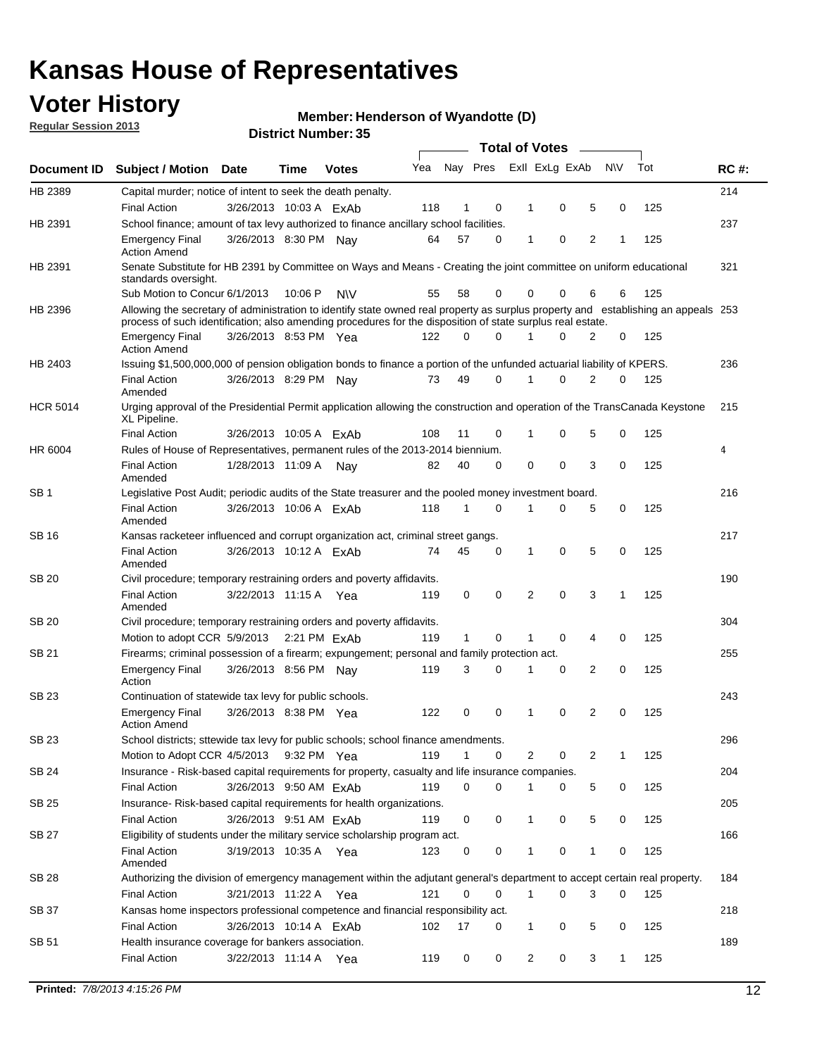## **Voter History**

**Member: Henderson of Wyandotte (D)** 

**Regular Session 2013**

|                    |                                                                                                                                                                                                                                                  |                        |             | DISTILI MUIIIDEL 99 |     |              |             | Total of Votes - |          |                |          |     |             |
|--------------------|--------------------------------------------------------------------------------------------------------------------------------------------------------------------------------------------------------------------------------------------------|------------------------|-------------|---------------------|-----|--------------|-------------|------------------|----------|----------------|----------|-----|-------------|
| <b>Document ID</b> | <b>Subject / Motion</b>                                                                                                                                                                                                                          | <b>Date</b>            | Time        | <b>Votes</b>        | Yea |              | Nay Pres    | Exll ExLg ExAb   |          |                | N\V      | Tot | <b>RC#:</b> |
| HB 2389            | Capital murder; notice of intent to seek the death penalty.                                                                                                                                                                                      |                        |             |                     |     |              |             |                  |          |                |          |     | 214         |
|                    | <b>Final Action</b>                                                                                                                                                                                                                              | 3/26/2013 10:03 A ExAb |             |                     | 118 | 1            | 0           | 1                | 0        | 5              | 0        | 125 |             |
| HB 2391            | School finance; amount of tax levy authorized to finance ancillary school facilities.                                                                                                                                                            |                        |             |                     |     |              |             |                  |          |                |          |     | 237         |
|                    | <b>Emergency Final</b><br><b>Action Amend</b>                                                                                                                                                                                                    | 3/26/2013 8:30 PM Nay  |             |                     | 64  | 57           | 0           | 1                | 0        | $\overline{2}$ | 1        | 125 |             |
| HB 2391            | Senate Substitute for HB 2391 by Committee on Ways and Means - Creating the joint committee on uniform educational<br>standards oversight.                                                                                                       |                        |             |                     |     |              |             |                  |          |                |          |     | 321         |
|                    | Sub Motion to Concur 6/1/2013                                                                                                                                                                                                                    |                        | 10:06P      | <b>NIV</b>          | 55  | 58           | $\Omega$    | 0                | 0        | 6              | 6        | 125 |             |
| HB 2396            | Allowing the secretary of administration to identify state owned real property as surplus property and establishing an appeals 253<br>process of such identification; also amending procedures for the disposition of state surplus real estate. |                        |             |                     |     |              |             |                  |          |                |          |     |             |
|                    | <b>Emergency Final</b><br><b>Action Amend</b>                                                                                                                                                                                                    | 3/26/2013 8:53 PM Yea  |             |                     | 122 | 0            | $\Omega$    |                  | $\Omega$ | 2              | 0        | 125 |             |
| HB 2403            | Issuing \$1,500,000,000 of pension obligation bonds to finance a portion of the unfunded actuarial liability of KPERS.                                                                                                                           |                        |             |                     |     |              |             |                  |          |                |          |     | 236         |
|                    | <b>Final Action</b><br>Amended                                                                                                                                                                                                                   | 3/26/2013 8:29 PM      |             | Nav                 | 73  | 49           | 0           | 1                | 0        | 2              | 0        | 125 |             |
| <b>HCR 5014</b>    | Urging approval of the Presidential Permit application allowing the construction and operation of the TransCanada Keystone<br>XL Pipeline.                                                                                                       |                        |             |                     |     |              |             |                  |          |                |          |     | 215         |
|                    | <b>Final Action</b>                                                                                                                                                                                                                              | 3/26/2013 10:05 A ExAb |             |                     | 108 | 11           | $\Omega$    | 1                | 0        | 5              | 0        | 125 |             |
| HR 6004            | Rules of House of Representatives, permanent rules of the 2013-2014 biennium.                                                                                                                                                                    |                        |             |                     |     |              |             |                  |          |                |          |     | 4           |
|                    | <b>Final Action</b><br>Amended                                                                                                                                                                                                                   | 1/28/2013 11:09 A      |             | Nay                 | 82  | 40           | 0           | 0                | 0        | 3              | 0        | 125 |             |
| SB <sub>1</sub>    | Legislative Post Audit; periodic audits of the State treasurer and the pooled money investment board.                                                                                                                                            |                        |             |                     |     |              |             |                  |          |                |          |     | 216         |
|                    | <b>Final Action</b><br>Amended                                                                                                                                                                                                                   | 3/26/2013 10:06 A ExAb |             |                     | 118 | $\mathbf{1}$ | $\Omega$    | 1                | 0        | 5              | 0        | 125 |             |
| <b>SB16</b>        | Kansas racketeer influenced and corrupt organization act, criminal street gangs.                                                                                                                                                                 |                        |             |                     |     |              |             |                  |          |                |          |     | 217         |
|                    | <b>Final Action</b><br>Amended                                                                                                                                                                                                                   | 3/26/2013 10:12 A ExAb |             |                     | 74  | 45           | 0           | 1                | 0        | 5              | 0        | 125 |             |
| SB 20              | Civil procedure; temporary restraining orders and poverty affidavits.                                                                                                                                                                            |                        |             |                     |     |              |             |                  |          |                |          |     | 190         |
|                    | <b>Final Action</b><br>Amended                                                                                                                                                                                                                   | 3/22/2013 11:15 A      |             | Yea                 | 119 | 0            | 0           | 2                | 0        | 3              | 1        | 125 |             |
| <b>SB 20</b>       | Civil procedure; temporary restraining orders and poverty affidavits.                                                                                                                                                                            |                        |             |                     |     |              |             |                  |          |                |          |     | 304         |
|                    | Motion to adopt CCR 5/9/2013 2:21 PM ExAb                                                                                                                                                                                                        |                        |             |                     | 119 | $\mathbf{1}$ | $\Omega$    |                  | $\Omega$ | 4              | 0        | 125 |             |
| SB 21              | Firearms; criminal possession of a firearm; expungement; personal and family protection act.                                                                                                                                                     |                        |             |                     |     |              |             |                  |          |                |          |     | 255         |
|                    | <b>Emergency Final</b><br>Action                                                                                                                                                                                                                 | 3/26/2013 8:56 PM Nav  |             |                     | 119 | 3            | $\Omega$    | 1                | 0        | 2              | $\Omega$ | 125 |             |
| <b>SB 23</b>       | Continuation of statewide tax levy for public schools.                                                                                                                                                                                           |                        |             |                     |     |              |             |                  |          |                |          |     | 243         |
|                    | <b>Emergency Final</b><br><b>Action Amend</b>                                                                                                                                                                                                    | 3/26/2013 8:38 PM Yea  |             |                     | 122 | 0            | $\mathbf 0$ | 1                | 0        | 2              | 0        | 125 |             |
| SB 23              | School districts; sttewide tax levy for public schools; school finance amendments.                                                                                                                                                               |                        |             |                     |     |              |             |                  |          |                |          |     | 296         |
|                    | Motion to Adopt CCR 4/5/2013                                                                                                                                                                                                                     |                        | 9:32 PM Yea |                     | 119 | 1            | 0           | 2                | 0        | 2              | 1        | 125 |             |
| <b>SB 24</b>       | Insurance - Risk-based capital requirements for property, casualty and life insurance companies.                                                                                                                                                 |                        |             |                     |     |              |             |                  |          |                |          |     | 204         |
|                    | <b>Final Action</b>                                                                                                                                                                                                                              | 3/26/2013 9:50 AM ExAb |             |                     | 119 | 0            | 0           | 1                | 0        | 5              | 0        | 125 |             |
| SB 25              | Insurance-Risk-based capital requirements for health organizations.                                                                                                                                                                              |                        |             |                     |     |              |             |                  |          |                |          |     | 205         |
|                    | <b>Final Action</b>                                                                                                                                                                                                                              | 3/26/2013 9:51 AM ExAb |             |                     | 119 | 0            | 0           | 1                | 0        | 5              | 0        | 125 |             |
| <b>SB 27</b>       | Eligibility of students under the military service scholarship program act.                                                                                                                                                                      |                        |             |                     |     |              |             |                  |          |                |          |     | 166         |
|                    | <b>Final Action</b><br>Amended                                                                                                                                                                                                                   | 3/19/2013 10:35 A Yea  |             |                     | 123 | 0            | 0           |                  | 0        | 1              | 0        | 125 |             |
| SB 28              | Authorizing the division of emergency management within the adjutant general's department to accept certain real property.                                                                                                                       |                        |             |                     |     |              |             |                  |          |                |          |     | 184         |
|                    | <b>Final Action</b>                                                                                                                                                                                                                              | 3/21/2013 11:22 A Yea  |             |                     | 121 | 0            | 0           | $\mathbf{1}$     | 0        | 3              | 0        | 125 |             |
| SB 37              | Kansas home inspectors professional competence and financial responsibility act.                                                                                                                                                                 |                        |             |                     |     |              |             |                  |          |                |          |     | 218         |
|                    | <b>Final Action</b>                                                                                                                                                                                                                              | 3/26/2013 10:14 A ExAb |             |                     | 102 | 17           | 0           | 1                | 0        | 5              | 0        | 125 |             |
| SB 51              | Health insurance coverage for bankers association.                                                                                                                                                                                               |                        |             |                     |     |              |             |                  |          |                |          |     | 189         |
|                    | Final Action                                                                                                                                                                                                                                     | 3/22/2013 11:14 A Yea  |             |                     | 119 | 0            | 0           | $\overline{c}$   | 0        | 3              | 1        | 125 |             |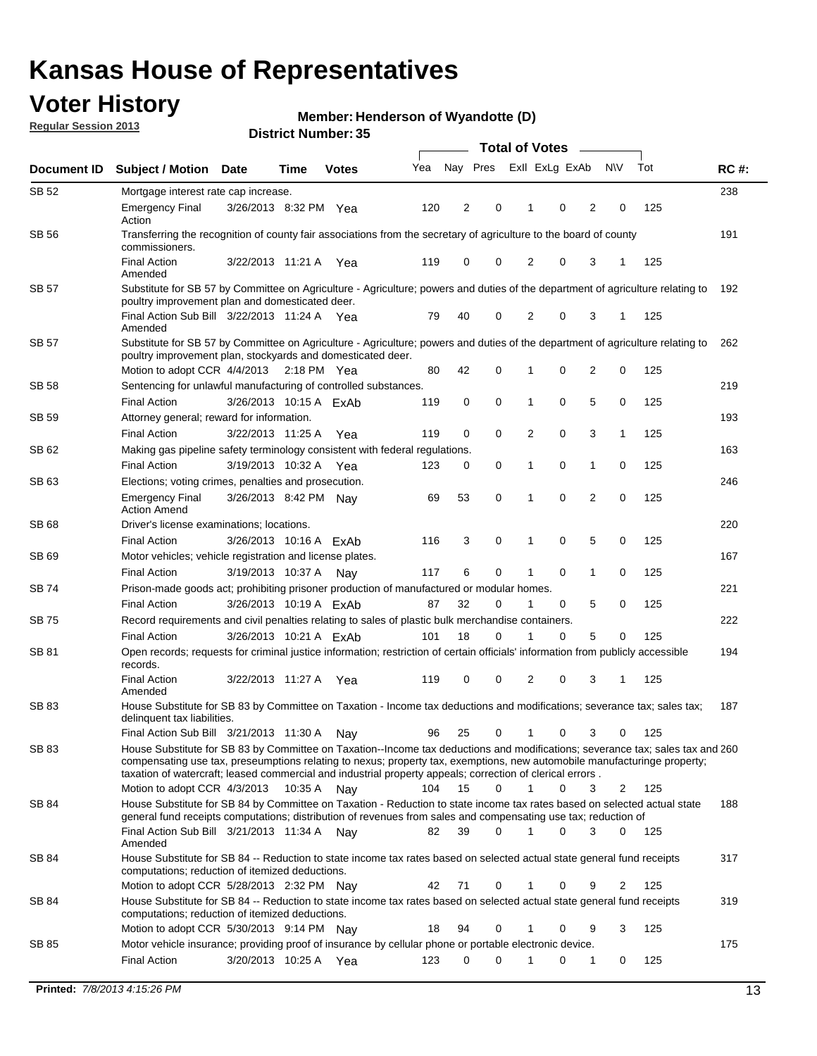## **Voter History**

**Member: Henderson of Wyandotte (D)** 

**Regular Session 2013**

|              |                                                                                                                                                                                                                                                                                                                                                                         |                        |             |              |     | <b>Total of Votes</b> |             |                |   |                |             |     |             |
|--------------|-------------------------------------------------------------------------------------------------------------------------------------------------------------------------------------------------------------------------------------------------------------------------------------------------------------------------------------------------------------------------|------------------------|-------------|--------------|-----|-----------------------|-------------|----------------|---|----------------|-------------|-----|-------------|
| Document ID  | <b>Subject / Motion Date</b>                                                                                                                                                                                                                                                                                                                                            |                        | Time        | <b>Votes</b> | Yea | Nay Pres              |             | Exll ExLg ExAb |   |                | <b>NV</b>   | Tot | <b>RC#:</b> |
| SB 52        | Mortgage interest rate cap increase.                                                                                                                                                                                                                                                                                                                                    |                        |             |              |     |                       |             |                |   |                |             |     | 238         |
|              | <b>Emergency Final</b><br>Action                                                                                                                                                                                                                                                                                                                                        | 3/26/2013 8:32 PM Yea  |             |              | 120 | 2                     | 0           |                | 0 | 2              | 0           | 125 |             |
| SB 56        | Transferring the recognition of county fair associations from the secretary of agriculture to the board of county<br>commissioners.                                                                                                                                                                                                                                     |                        |             |              |     |                       |             |                |   |                |             |     | 191         |
|              | <b>Final Action</b><br>Amended                                                                                                                                                                                                                                                                                                                                          | 3/22/2013 11:21 A      |             | Yea          | 119 | 0                     | 0           | 2              | 0 | 3              | 1           | 125 |             |
| SB 57        | Substitute for SB 57 by Committee on Agriculture - Agriculture; powers and duties of the department of agriculture relating to<br>poultry improvement plan and domesticated deer.                                                                                                                                                                                       |                        |             |              |     |                       |             |                |   |                |             |     | 192         |
|              | Final Action Sub Bill 3/22/2013 11:24 A Yea<br>Amended                                                                                                                                                                                                                                                                                                                  |                        |             |              | 79  | 40                    | 0           | 2              | 0 | 3              | 1           | 125 |             |
| SB 57        | Substitute for SB 57 by Committee on Agriculture - Agriculture; powers and duties of the department of agriculture relating to<br>poultry improvement plan, stockyards and domesticated deer.                                                                                                                                                                           |                        |             |              |     |                       |             |                |   |                |             |     | 262         |
|              | Motion to adopt CCR 4/4/2013 2:18 PM Yea                                                                                                                                                                                                                                                                                                                                |                        |             |              | 80  | 42                    | 0           | 1              | 0 | 2              | 0           | 125 |             |
| SB 58        | Sentencing for unlawful manufacturing of controlled substances.                                                                                                                                                                                                                                                                                                         |                        |             |              |     |                       |             |                |   |                |             |     | 219         |
|              | <b>Final Action</b>                                                                                                                                                                                                                                                                                                                                                     | 3/26/2013 10:15 A ExAb |             |              | 119 | 0                     | 0           | 1              | 0 | 5              | 0           | 125 |             |
| <b>SB 59</b> | Attorney general; reward for information.                                                                                                                                                                                                                                                                                                                               |                        |             |              |     |                       |             |                |   |                |             |     | 193         |
|              | <b>Final Action</b>                                                                                                                                                                                                                                                                                                                                                     | 3/22/2013 11:25 A      |             | Yea          | 119 | 0                     | 0           | 2              | 0 | 3              | 1           | 125 |             |
| SB 62        | Making gas pipeline safety terminology consistent with federal regulations.                                                                                                                                                                                                                                                                                             |                        |             |              |     |                       |             |                |   |                |             |     | 163         |
|              | <b>Final Action</b>                                                                                                                                                                                                                                                                                                                                                     | 3/19/2013 10:32 A      |             | Yea          | 123 | 0                     | 0           | 1              | 0 | 1              | 0           | 125 |             |
| SB 63        | Elections; voting crimes, penalties and prosecution.                                                                                                                                                                                                                                                                                                                    |                        |             |              |     |                       |             |                |   |                |             |     | 246         |
|              | <b>Emergency Final</b><br><b>Action Amend</b>                                                                                                                                                                                                                                                                                                                           | 3/26/2013 8:42 PM Nay  |             |              | 69  | 53                    | $\mathbf 0$ | 1              | 0 | $\overline{2}$ | $\mathbf 0$ | 125 |             |
| SB 68        | Driver's license examinations; locations.                                                                                                                                                                                                                                                                                                                               |                        |             |              |     |                       |             |                |   |                |             |     | 220         |
|              | <b>Final Action</b>                                                                                                                                                                                                                                                                                                                                                     | 3/26/2013 10:16 A ExAb |             |              | 116 | 3                     | 0           | 1              | 0 | 5              | 0           | 125 |             |
| SB 69        | Motor vehicles; vehicle registration and license plates.                                                                                                                                                                                                                                                                                                                |                        |             |              |     |                       |             |                |   |                |             |     | 167         |
|              | <b>Final Action</b>                                                                                                                                                                                                                                                                                                                                                     | 3/19/2013 10:37 A      |             | Nay          | 117 | 6                     | 0           | 1              | 0 | $\mathbf{1}$   | 0           | 125 |             |
| SB 74        | Prison-made goods act; prohibiting prisoner production of manufactured or modular homes.                                                                                                                                                                                                                                                                                |                        |             |              |     | 32                    |             | 1              |   |                |             | 125 | 221         |
|              | <b>Final Action</b>                                                                                                                                                                                                                                                                                                                                                     | 3/26/2013 10:19 A ExAb |             |              | 87  |                       | 0           |                | 0 | 5              | 0           |     |             |
| SB 75        | Record requirements and civil penalties relating to sales of plastic bulk merchandise containers.                                                                                                                                                                                                                                                                       | 3/26/2013 10:21 A ExAb |             |              | 101 | 18                    | 0           | 1              | 0 | 5              | 0           | 125 | 222         |
| SB 81        | <b>Final Action</b><br>Open records; requests for criminal justice information; restriction of certain officials' information from publicly accessible                                                                                                                                                                                                                  |                        |             |              |     |                       |             |                |   |                |             |     | 194         |
|              | records.<br><b>Final Action</b>                                                                                                                                                                                                                                                                                                                                         | 3/22/2013 11:27 A      |             | Yea          | 119 | 0                     | 0           | 2              | 0 | 3              | 1           | 125 |             |
|              | Amended                                                                                                                                                                                                                                                                                                                                                                 |                        |             |              |     |                       |             |                |   |                |             |     |             |
| <b>SB 83</b> | House Substitute for SB 83 by Committee on Taxation - Income tax deductions and modifications; severance tax; sales tax;<br>delinquent tax liabilities.                                                                                                                                                                                                                 |                        |             |              |     |                       |             |                |   |                |             |     | 187         |
|              | Final Action Sub Bill 3/21/2013 11:30 A                                                                                                                                                                                                                                                                                                                                 |                        |             | Nav          | 96  | 25                    | 0           | 1              | 0 | 3              | 0           | 125 |             |
| SB 83        | House Substitute for SB 83 by Committee on Taxation--Income tax deductions and modifications; severance tax; sales tax and 260<br>compensating use tax, preseumptions relating to nexus; property tax, exemptions, new automobile manufacturinge property;<br>taxation of watercraft; leased commercial and industrial property appeals; correction of clerical errors. |                        |             |              |     |                       |             |                |   |                |             |     |             |
|              | Motion to adopt CCR 4/3/2013                                                                                                                                                                                                                                                                                                                                            |                        | 10:35 A Nay |              | 104 | 15                    | 0           | $\mathbf{1}$   | 0 | 3              | 2           | 125 |             |
| SB 84        | House Substitute for SB 84 by Committee on Taxation - Reduction to state income tax rates based on selected actual state<br>general fund receipts computations; distribution of revenues from sales and compensating use tax; reduction of<br>Final Action Sub Bill 3/21/2013 11:34 A Nay                                                                               |                        |             |              | 82  | 39                    | $\Omega$    |                | 0 | 3              | $\Omega$    | 125 | 188         |
|              | Amended                                                                                                                                                                                                                                                                                                                                                                 |                        |             |              |     |                       |             |                |   |                |             |     |             |
| SB 84        | House Substitute for SB 84 -- Reduction to state income tax rates based on selected actual state general fund receipts<br>computations; reduction of itemized deductions.                                                                                                                                                                                               |                        |             |              |     |                       |             |                |   |                |             |     | 317         |
|              | Motion to adopt CCR 5/28/2013 2:32 PM Nav                                                                                                                                                                                                                                                                                                                               |                        |             |              | 42  | 71                    | 0           |                | 0 | 9              | 2           | 125 |             |
| SB 84        | House Substitute for SB 84 -- Reduction to state income tax rates based on selected actual state general fund receipts<br>computations; reduction of itemized deductions.                                                                                                                                                                                               |                        |             |              |     |                       |             |                |   |                |             |     | 319         |
|              | Motion to adopt CCR 5/30/2013 9:14 PM Nay                                                                                                                                                                                                                                                                                                                               |                        |             |              | 18  | 94                    | 0           |                | 0 | 9              | 3           | 125 |             |
| SB 85        | Motor vehicle insurance; providing proof of insurance by cellular phone or portable electronic device.                                                                                                                                                                                                                                                                  |                        |             |              |     |                       |             |                |   |                |             |     | 175         |
|              | <b>Final Action</b>                                                                                                                                                                                                                                                                                                                                                     | 3/20/2013 10:25 A Yea  |             |              | 123 | 0                     | $\Omega$    |                | 0 | 1              | 0           | 125 |             |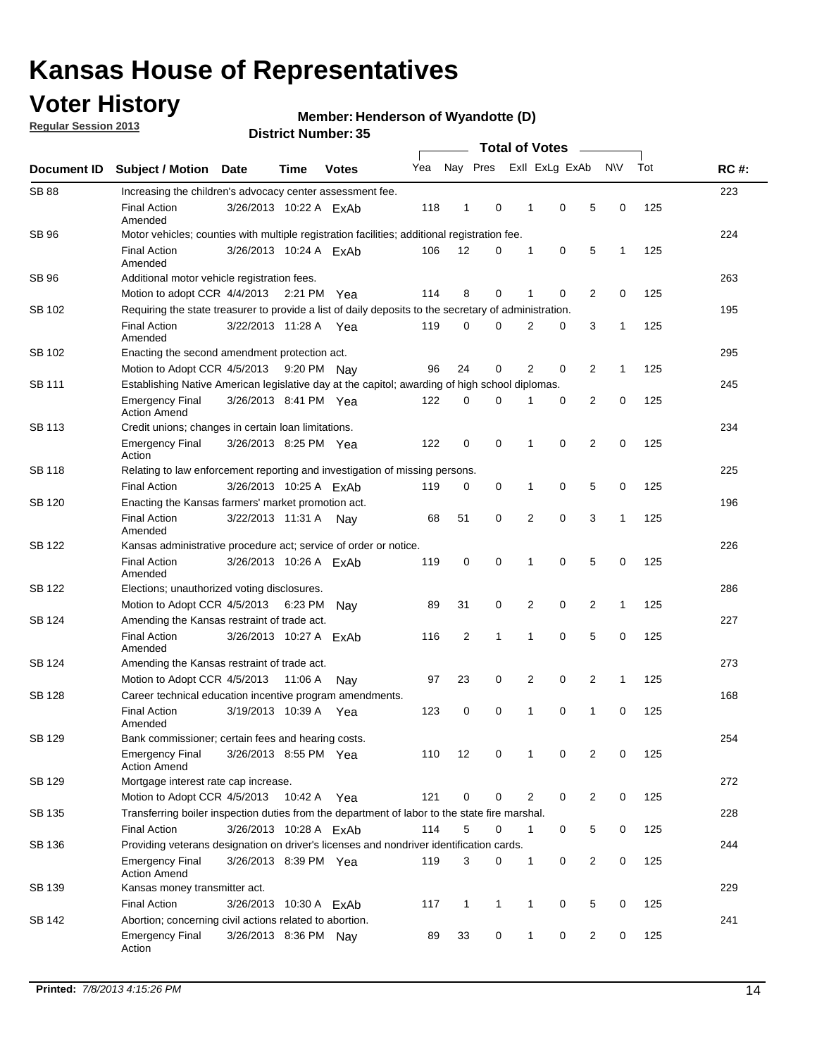## **Voter History**

**Regular Session 2013**

### **Member: Henderson of Wyandotte (D)**

| Document ID   |                                                                                                       |                        |             |              |     |                |                              |                |                |                |              |     |             |  |  |  |  |
|---------------|-------------------------------------------------------------------------------------------------------|------------------------|-------------|--------------|-----|----------------|------------------------------|----------------|----------------|----------------|--------------|-----|-------------|--|--|--|--|
|               | <b>Subject / Motion Date</b>                                                                          |                        | Time        | <b>Votes</b> | Yea | Nay Pres       |                              |                | Exll ExLg ExAb |                | N\V          | Tot | <b>RC#:</b> |  |  |  |  |
| <b>SB 88</b>  | Increasing the children's advocacy center assessment fee.                                             |                        |             |              |     |                |                              |                |                |                |              |     | 223         |  |  |  |  |
|               | <b>Final Action</b><br>Amended                                                                        | 3/26/2013 10:22 A ExAb |             |              | 118 | $\mathbf{1}$   | 0                            | 1              | 0              | 5              | 0            | 125 |             |  |  |  |  |
| SB 96         | Motor vehicles; counties with multiple registration facilities; additional registration fee.          |                        |             |              |     |                |                              |                |                |                |              |     | 224         |  |  |  |  |
|               | <b>Final Action</b><br>Amended                                                                        | 3/26/2013 10:24 A ExAb |             |              | 106 | 12             | 0                            | 1              | 0              | 5              | 1            | 125 |             |  |  |  |  |
| SB 96         | Additional motor vehicle registration fees.                                                           |                        |             |              |     |                |                              |                |                |                |              |     | 263         |  |  |  |  |
|               | Motion to adopt CCR 4/4/2013 2:21 PM Yea                                                              |                        |             |              | 114 | 8              | 0                            | 1              | $\mathbf 0$    | 2              | 0            | 125 |             |  |  |  |  |
| SB 102        | Requiring the state treasurer to provide a list of daily deposits to the secretary of administration. |                        |             |              |     |                |                              |                |                |                |              |     | 195         |  |  |  |  |
|               | <b>Final Action</b><br>Amended                                                                        | 3/22/2013 11:28 A Yea  |             |              | 119 | 0              | $\Omega$                     | $\overline{2}$ | 0              | 3              | 1            | 125 |             |  |  |  |  |
| SB 102        | Enacting the second amendment protection act.                                                         |                        |             |              |     |                |                              |                |                |                |              |     |             |  |  |  |  |
|               | Motion to Adopt CCR 4/5/2013                                                                          |                        | 9:20 PM Nay |              | 96  | 24             | 2<br>2<br>0<br>0<br>1<br>125 |                |                |                |              |     |             |  |  |  |  |
| SB 111        | Establishing Native American legislative day at the capitol; awarding of high school diplomas.        |                        |             |              |     |                |                              |                |                |                |              |     |             |  |  |  |  |
|               | <b>Emergency Final</b><br><b>Action Amend</b>                                                         | 3/26/2013 8:41 PM Yea  |             |              | 122 | 0              | 0                            |                | 0              | 2              | 0            | 125 |             |  |  |  |  |
| SB 113        | Credit unions; changes in certain loan limitations.                                                   |                        |             |              |     |                |                              |                |                |                |              |     | 234         |  |  |  |  |
|               | Emergency Final<br>Action                                                                             | 3/26/2013 8:25 PM Yea  |             |              | 122 | $\mathbf 0$    | 0                            | 1              | 0              | $\overline{2}$ | 0            | 125 |             |  |  |  |  |
| <b>SB 118</b> | Relating to law enforcement reporting and investigation of missing persons.                           |                        |             |              |     |                |                              |                |                |                |              |     | 225         |  |  |  |  |
|               | <b>Final Action</b>                                                                                   | 3/26/2013 10:25 A ExAb |             |              | 119 | 0              | 0                            | $\mathbf 1$    | 0              | 5              | 0            | 125 |             |  |  |  |  |
| SB 120        | Enacting the Kansas farmers' market promotion act.                                                    |                        |             |              |     |                |                              |                |                |                |              |     | 196         |  |  |  |  |
|               | <b>Final Action</b><br>Amended                                                                        | 3/22/2013 11:31 A Nay  |             |              | 68  | 51             | 0                            | $\overline{2}$ | $\mathbf 0$    | 3              | 1            | 125 |             |  |  |  |  |
| <b>SB 122</b> | Kansas administrative procedure act; service of order or notice.                                      |                        |             |              |     |                |                              |                |                |                |              |     | 226         |  |  |  |  |
|               | <b>Final Action</b><br>Amended                                                                        | 3/26/2013 10:26 A ExAb |             |              | 119 | 0              | 0                            | 1              | $\mathbf 0$    | 5              | 0            | 125 |             |  |  |  |  |
| SB 122        | Elections; unauthorized voting disclosures.                                                           |                        |             |              |     |                |                              |                |                |                |              |     |             |  |  |  |  |
|               | Motion to Adopt CCR 4/5/2013 6:23 PM                                                                  |                        |             | Nav          | 89  | 31             | 0                            | 2              | 0              | 2              | $\mathbf{1}$ | 125 |             |  |  |  |  |
| SB 124        | Amending the Kansas restraint of trade act.                                                           |                        |             |              |     |                |                              |                |                |                |              |     | 227         |  |  |  |  |
|               | <b>Final Action</b><br>Amended                                                                        | 3/26/2013 10:27 A      |             | ExAb         | 116 | $\overline{2}$ | $\mathbf{1}$                 | 1              | $\mathbf 0$    | 5              | 0            | 125 |             |  |  |  |  |
| SB 124        | Amending the Kansas restraint of trade act.                                                           |                        |             |              |     |                |                              |                |                |                |              |     | 273         |  |  |  |  |
|               | Motion to Adopt CCR 4/5/2013                                                                          |                        | 11:06 A     | Nav          | 97  | 23             | 0                            | 2              | 0              | 2              | $\mathbf{1}$ | 125 |             |  |  |  |  |
| <b>SB 128</b> | Career technical education incentive program amendments.                                              |                        |             |              |     |                |                              |                |                |                |              |     | 168         |  |  |  |  |
|               | <b>Final Action</b><br>Amended                                                                        | 3/19/2013 10:39 A      |             | Yea          | 123 | 0              | 0                            | 1              | 0              | $\mathbf{1}$   | 0            | 125 |             |  |  |  |  |
| <b>SB 129</b> | Bank commissioner: certain fees and hearing costs.                                                    |                        |             |              |     |                |                              |                |                |                |              |     | 254         |  |  |  |  |
|               | Emergency Final<br><b>Action Amend</b>                                                                | 3/26/2013 8:55 PM Yea  |             |              | 110 | 12             | 0                            | 1              | 0              | 2              | 0            | 125 |             |  |  |  |  |
| <b>SB 129</b> | Mortgage interest rate cap increase.                                                                  |                        |             |              |     |                |                              |                |                |                |              |     | 272         |  |  |  |  |
|               | Motion to Adopt CCR 4/5/2013 10:42 A                                                                  |                        |             | Yea          | 121 | $\mathbf 0$    | 0                            | 2              | 0              | $\overline{2}$ | 0            | 125 |             |  |  |  |  |
| SB 135        | Transferring boiler inspection duties from the department of labor to the state fire marshal.         |                        |             |              |     |                |                              |                |                |                |              |     | 228         |  |  |  |  |
|               | <b>Final Action</b>                                                                                   | 3/26/2013 10:28 A ExAb |             |              | 114 | 5              | 0                            | 1              | 0              | 5              | 0            | 125 |             |  |  |  |  |
| SB 136        | Providing veterans designation on driver's licenses and nondriver identification cards.               |                        |             |              |     |                |                              |                |                |                |              |     | 244         |  |  |  |  |
|               | Emergency Final<br><b>Action Amend</b>                                                                | 3/26/2013 8:39 PM Yea  |             |              | 119 | 3              | 0                            | 1              | 0              | $\overline{2}$ | 0            | 125 |             |  |  |  |  |
| SB 139        | Kansas money transmitter act.                                                                         |                        |             |              |     |                |                              |                |                |                |              |     | 229         |  |  |  |  |
|               | <b>Final Action</b>                                                                                   | 3/26/2013 10:30 A ExAb |             |              | 117 | 1              | $\mathbf{1}$                 | 1              | 0              | 5              | 0            | 125 |             |  |  |  |  |
| SB 142        | Abortion; concerning civil actions related to abortion.                                               |                        |             |              |     |                |                              |                |                |                |              |     | 241         |  |  |  |  |
|               | <b>Emergency Final</b><br>Action                                                                      | 3/26/2013 8:36 PM Nay  |             |              | 89  | 33             | $\mathbf 0$                  | 1              | 0              | 2              | 0            | 125 |             |  |  |  |  |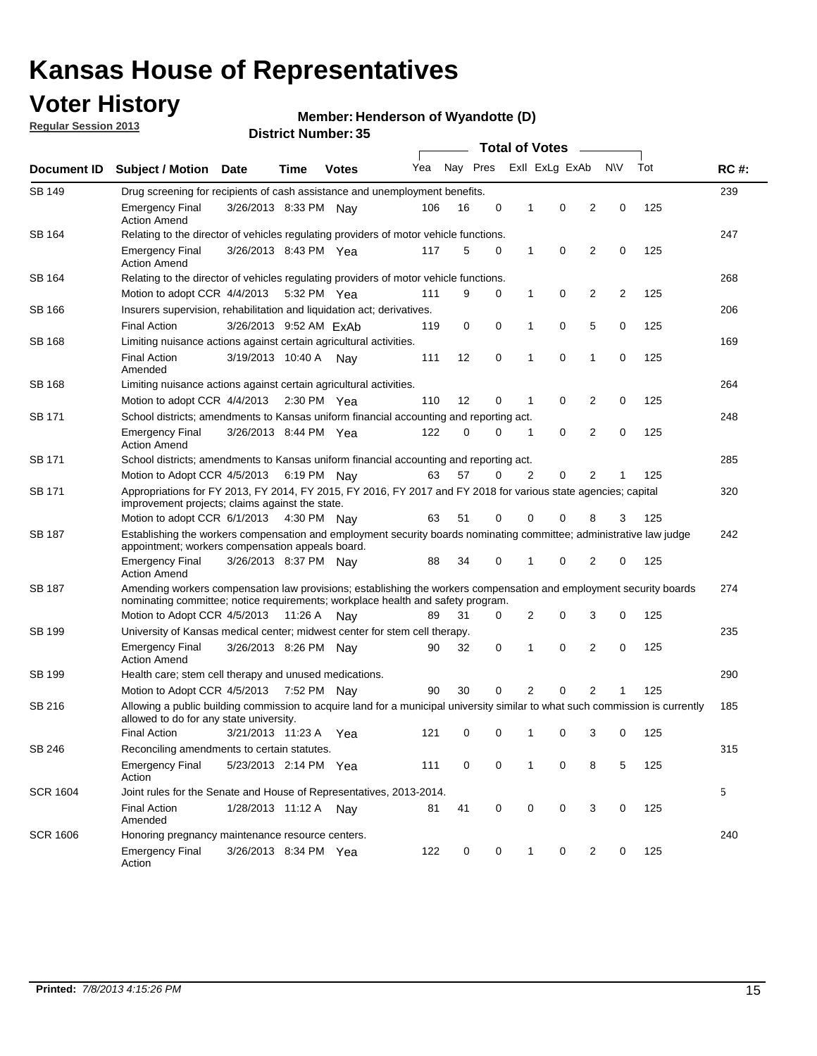## **Voter History**

**Member: Henderson of Wyandotte (D)** 

**Regular Session 2013**

|                 |                                                                                                                                                                                                       |                                                                                                                                                                         |             |               |     |          |   | <b>Total of Votes</b> |                |                |                |     |             |
|-----------------|-------------------------------------------------------------------------------------------------------------------------------------------------------------------------------------------------------|-------------------------------------------------------------------------------------------------------------------------------------------------------------------------|-------------|---------------|-----|----------|---|-----------------------|----------------|----------------|----------------|-----|-------------|
| Document ID     | <b>Subject / Motion Date</b>                                                                                                                                                                          |                                                                                                                                                                         | Time        | <b>Votes</b>  | Yea | Nay Pres |   |                       | Exll ExLg ExAb |                | <b>NV</b>      | Tot | <b>RC#:</b> |
| <b>SB 149</b>   | 239<br>Drug screening for recipients of cash assistance and unemployment benefits.                                                                                                                    |                                                                                                                                                                         |             |               |     |          |   |                       |                |                |                |     |             |
|                 | Emergency Final<br><b>Action Amend</b>                                                                                                                                                                | 3/26/2013 8:33 PM Nav                                                                                                                                                   |             |               | 106 | 16       | 0 | 1                     | 0              | 2              | 0              | 125 |             |
| SB 164          | Relating to the director of vehicles regulating providers of motor vehicle functions.                                                                                                                 |                                                                                                                                                                         |             |               |     |          |   |                       |                |                |                |     | 247         |
|                 | <b>Emergency Final</b><br><b>Action Amend</b>                                                                                                                                                         | 3/26/2013 8:43 PM Yea                                                                                                                                                   |             |               | 117 | 5        | 0 | $\mathbf{1}$          | 0              | $\overline{2}$ | 0              | 125 |             |
| SB 164          | Relating to the director of vehicles regulating providers of motor vehicle functions.                                                                                                                 |                                                                                                                                                                         |             |               |     |          |   |                       |                |                |                |     | 268         |
|                 | Motion to adopt CCR 4/4/2013                                                                                                                                                                          |                                                                                                                                                                         | 5:32 PM Yea |               | 111 | 9        | 0 | $\mathbf{1}$          | 0              | 2              | $\overline{2}$ | 125 |             |
| SB 166          | Insurers supervision, rehabilitation and liquidation act; derivatives.                                                                                                                                |                                                                                                                                                                         |             |               |     |          |   |                       |                |                |                |     | 206         |
|                 | <b>Final Action</b>                                                                                                                                                                                   | 3/26/2013 9:52 AM ExAb                                                                                                                                                  |             |               | 119 | 0        | 0 | 1                     | 0              | 5              | 0              | 125 |             |
| SB 168          | Limiting nuisance actions against certain agricultural activities.                                                                                                                                    |                                                                                                                                                                         |             |               |     |          |   |                       |                |                |                |     | 169         |
|                 | <b>Final Action</b><br>Amended                                                                                                                                                                        | 3/19/2013 10:40 A Nay                                                                                                                                                   |             |               | 111 | 12       | 0 | 1                     | 0              | 1              | 0              | 125 |             |
| <b>SB 168</b>   | Limiting nuisance actions against certain agricultural activities.                                                                                                                                    |                                                                                                                                                                         |             |               |     |          |   |                       |                |                |                |     | 264         |
|                 | Motion to adopt CCR 4/4/2013                                                                                                                                                                          |                                                                                                                                                                         |             | $2:30$ PM Yea | 110 | 12       | 0 | 1                     | 0              | 2              | 0              | 125 |             |
| SB 171          | School districts; amendments to Kansas uniform financial accounting and reporting act.                                                                                                                |                                                                                                                                                                         |             |               |     |          |   |                       |                |                |                |     | 248         |
|                 | <b>Emergency Final</b><br><b>Action Amend</b>                                                                                                                                                         | 3/26/2013 8:44 PM Yea                                                                                                                                                   |             |               | 122 | 0        | 0 | 1                     | 0              | $\overline{2}$ | 0              | 125 |             |
| SB 171          | School districts; amendments to Kansas uniform financial accounting and reporting act.                                                                                                                |                                                                                                                                                                         |             |               |     |          |   |                       |                |                |                |     | 285         |
|                 | Motion to Adopt CCR 4/5/2013 6:19 PM Nay                                                                                                                                                              |                                                                                                                                                                         |             |               | 63  | 57       | 0 | 2                     | 0              | 2              |                | 125 |             |
| SB 171          | Appropriations for FY 2013, FY 2014, FY 2015, FY 2016, FY 2017 and FY 2018 for various state agencies; capital<br>improvement projects; claims against the state.                                     |                                                                                                                                                                         |             |               |     |          |   |                       |                |                | 320            |     |             |
|                 | Motion to adopt CCR 6/1/2013 4:30 PM Nay                                                                                                                                                              |                                                                                                                                                                         |             |               | 63  | 51       | 0 | 0                     | 0              | 8              | 3              | 125 |             |
| <b>SB 187</b>   |                                                                                                                                                                                                       | Establishing the workers compensation and employment security boards nominating committee; administrative law judge<br>appointment; workers compensation appeals board. |             |               |     |          |   |                       |                |                |                |     |             |
|                 | <b>Emergency Final</b><br><b>Action Amend</b>                                                                                                                                                         | 3/26/2013 8:37 PM Nav                                                                                                                                                   |             |               | 88  | 34       | 0 | 1                     | 0              | 2              | 0              | 125 |             |
| SB 187          | Amending workers compensation law provisions; establishing the workers compensation and employment security boards<br>nominating committee; notice requirements; workplace health and safety program. |                                                                                                                                                                         |             |               |     |          |   |                       |                |                |                |     | 274         |
|                 | Motion to Adopt CCR 4/5/2013 11:26 A Nay                                                                                                                                                              |                                                                                                                                                                         |             |               | 89  | 31       | 0 | 2                     | 0              | 3              | 0              | 125 |             |
| SB 199          | University of Kansas medical center; midwest center for stem cell therapy.                                                                                                                            |                                                                                                                                                                         |             |               |     |          |   |                       |                |                |                |     | 235         |
|                 | Emergency Final<br><b>Action Amend</b>                                                                                                                                                                | 3/26/2013 8:26 PM Nav                                                                                                                                                   |             |               | 90  | 32       | 0 | 1                     | 0              | 2              | 0              | 125 |             |
| SB 199          | Health care; stem cell therapy and unused medications.                                                                                                                                                |                                                                                                                                                                         |             |               |     |          |   |                       |                |                |                |     | 290         |
|                 | Motion to Adopt CCR 4/5/2013                                                                                                                                                                          |                                                                                                                                                                         | 7:52 PM Nay |               | 90  | 30       | 0 | 2                     | 0              | $\overline{2}$ |                | 125 |             |
| SB 216          | Allowing a public building commission to acquire land for a municipal university similar to what such commission is currently<br>allowed to do for any state university.                              |                                                                                                                                                                         |             |               |     |          |   |                       |                |                |                |     | 185         |
|                 | <b>Final Action</b>                                                                                                                                                                                   | 3/21/2013 11:23 A                                                                                                                                                       |             | Yea           | 121 | 0        | 0 | 1                     | 0              | 3              | 0              | 125 |             |
| SB 246          | Reconciling amendments to certain statutes.                                                                                                                                                           |                                                                                                                                                                         |             |               |     |          |   |                       |                |                |                |     | 315         |
|                 | <b>Emergency Final</b><br>Action                                                                                                                                                                      | 5/23/2013 2:14 PM Yea                                                                                                                                                   |             |               | 111 | 0        | 0 | 1                     | 0              | 8              | 5              | 125 |             |
| <b>SCR 1604</b> | Joint rules for the Senate and House of Representatives, 2013-2014.                                                                                                                                   |                                                                                                                                                                         |             |               |     |          |   |                       |                |                |                |     | 5           |
|                 | <b>Final Action</b><br>Amended                                                                                                                                                                        | 1/28/2013 11:12 A                                                                                                                                                       |             | Nay           | 81  | 41       | 0 | 0                     | 0              | 3              | 0              | 125 |             |
| <b>SCR 1606</b> | Honoring pregnancy maintenance resource centers.                                                                                                                                                      |                                                                                                                                                                         |             |               |     |          |   |                       |                |                |                |     | 240         |
|                 | <b>Emergency Final</b><br>Action                                                                                                                                                                      | 3/26/2013 8:34 PM Yea                                                                                                                                                   |             |               | 122 | 0        | 0 | 1                     | 0              | 2              | 0              | 125 |             |